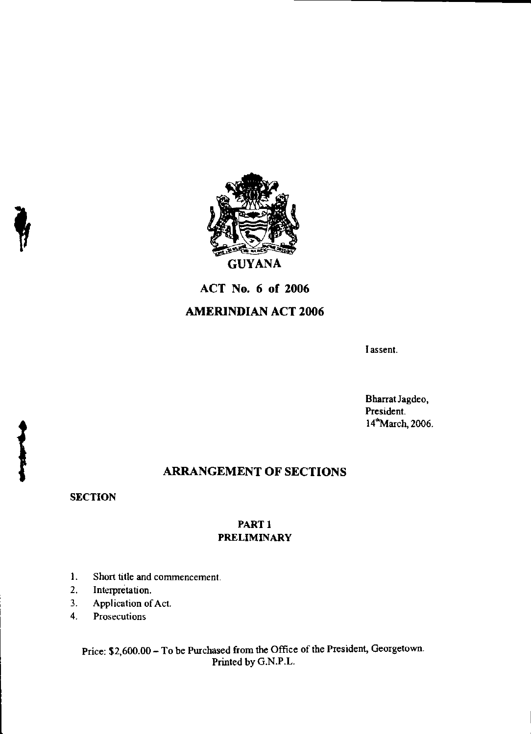

# **ACT No. 6 of 2006**

# **AMERINDIAN ACT 2006**

I assent.

Bharrat Jagdeo, President. 14"March, 2006.

# **ARRANGEMENT OF SECTIONS**

**SECTION** 

## PART I PRELIMINARY

- 1. Short title and commencement.
- 2. Interpretation.
- 3. Application of Act.
- 4. Prosecutions

Price: \$2,600.00 — To be Purchased from the Office of the President, Georgetown. Printed by G.N.P.L.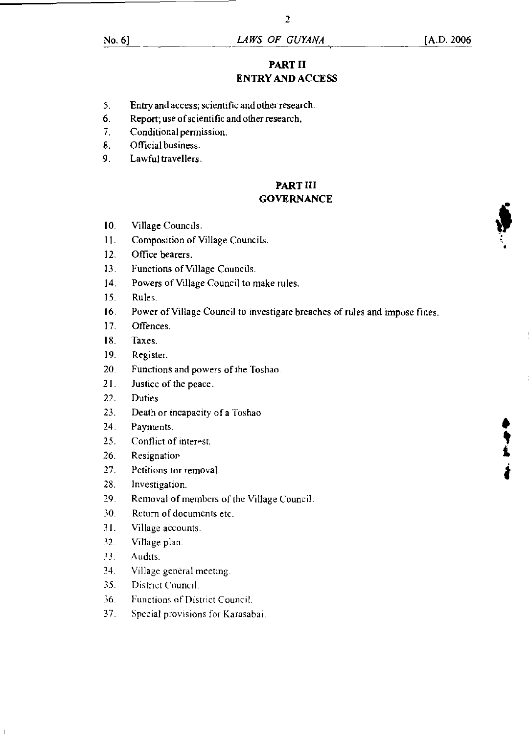# PART II ENTRY AND ACCESS

2

- 5. Entry and access; scientific and other research.
- 6. Report; use of scientific and other research.
- 7. Conditional permission.
- 8. Official business.
- 9. Lawful travellers.

#### PART HI **GOVERNANCE**

- 10. Village Councils.
- 11. Composition of Village Councils.
- 12. Office bearers.
- 13. Functions of Village Councils.
- 14. Powers of Village Council to make rules.
- 15. Rules.
- 16. Power of Village Council to investigate breaches of rules and impose fines.
- 17. Offences.
- IS. Taxes.
- 19. Register.
- 20. Functions and powers of *the* Toshao.
- 21. Justice of the peace.
- 22. Duties.
- 23. Death or incapacity of a Toshao
- 24. Payments.
- 25. Conflict of interest.
- 26. Resignation
- 27. Petitions for removal.
- 28. Investigation.
- 29. Removal of members of the Village Council.
- 30. Return of documents etc.
- 31. Village accounts.
- 32. Village plan.
- 33. Audits.
- 34. Village general meeting.
- 35. District Council.
- 36. Functions of District Council.
- 37. Special provisions for Karasabai.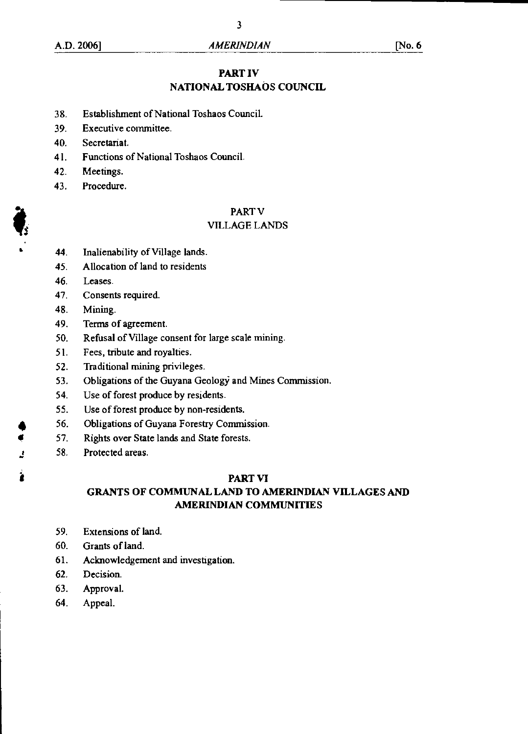### **PART IV**

# **NATIONAL TOSHAOS COUNCIL**

- 38. Establishment of National Toshaos Council.
- 39. Executive committee.
- 40. Secretariat.
- 41. Functions of National Toshaos Council.
- 42. Meetings.
- 43. Procedure.

#### PART V

#### VILLAGE LANDS

- 44. Inalienability of Village lands.
- 45. Allocation of land to residents
- 46. Leases.
- 47. Consents required.
- 48. Mining.
- 49. Terms of agreement.
- 50. Refusal of Village consent for large scale mining.
- 51. Fees, tribute and royalties.
- 52. Traditional mining privileges.
- 53. Obligations of the Guyana Geology and Mines Commission.
- 54. Use of forest produce by residents.
- 55. Use of forest produce by non-residents.
- 56. Obligations of Guyana Forestry Commission.<br>57. Rights over State lands and State forests.
- Rights over State lands and State forests.
- 58. Protected areas.

#### **PART VI**

## **GRANTS OF COMMUNAL LAND TO AMERINDIAN VILLAGES AND AMERINDIAN COMMUNITIES**

- 59. Extensions of land.
- 60. Grants of land.
- 61. Acknowledgement and investigation.
- 62. Decision.
- 63. Approval.
- 64. Appeal.

Ĵ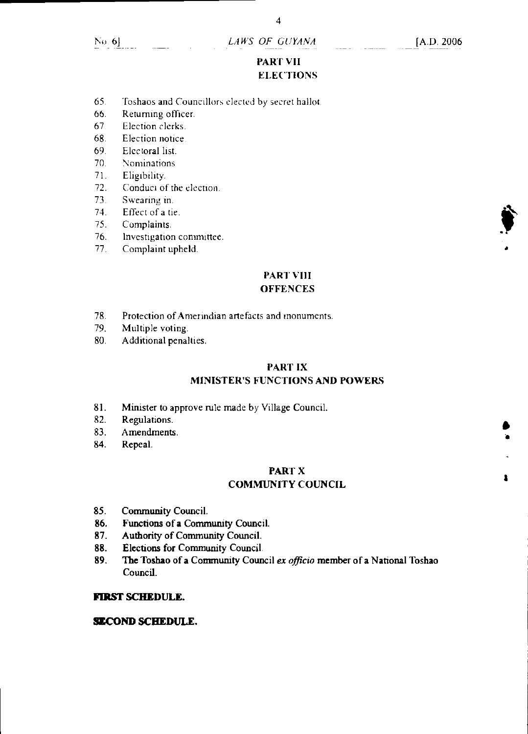4

# PART VII **ELECTIONS**

- 65. Toshaos and Councillors elected by secret ballot.
- 66. Returning officer.
- 67 Election clerks.
- 68. Election notice
- 69. Electoral list.
- 70. Nominations
- 71. Eligibility.
- 72. Conduct of the election.
- 73. Swearing in.
- 74. Effect of a tie.
- 75. Complaints.
- 76. Investigation committee.
- 77. Complaint upheld.

# PART VIII

# **OFFENCES**

- 78. Protection of Amerindian artefacts and monuments.<br>79. Multiple voting.
- Multiple voting.
- 80. Additional penalties.

# PART IX

# MINISTER'S FUNCTIONS AND POWERS

- 81. Minister to approve rule made by Village Council.
- 82. Regulations.
- 83. Amendments.
- 84. Repeal.

#### PART X COMMUNITY COUNCIL

- 85. Community Council.
- 86. Functions of a Community Council.
- 87. Authority of Community Council.
- 88. Elections for Community Council.
- 89. The Toshao of a Community Council *ex officio* member of a National Toshao Council.

#### **FIRST SCHEDULE.**

#### **SECOND SCHEDULE.**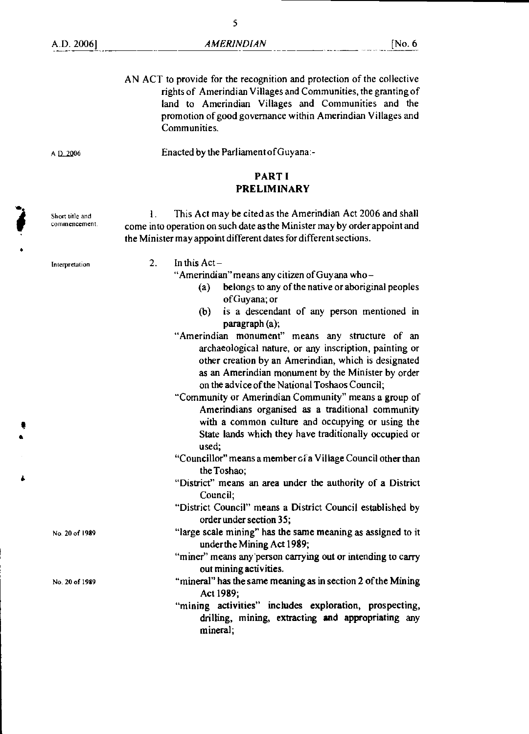AN ACT to provide for the recognition and protection of the collective rights of Amerindian Villages and Communities, the granting of land to Amerindian Villages and Communities and the promotion of good governance within Amerindian Villages and Communities.

A D. 2006 Enacted by the Parliament of Guyana:-

#### **PART I PRELIMINARY**

I . This Act may be cited as the Amerindian Act 2006 and shall come into operation on such date as the Minister may by order appoint and the Minister may appoint different dates for different sections.

Interpretation

Short title and commencement.

2. In this Act-

"Amerindian" means any citizen of Guyana who —

- (a) belongs to any of the native or aboriginal peoples of Guyana; or
- (b) is a descendant of any person mentioned in paragraph (a);
- "Amerindian monument" means any structure of an archaeological nature, or any inscription, painting or other creation by an Amerindian, which is designated as an Amerindian monument by the Minister by order on the advice of the National Toshaos Council;
- "Community or Amerindian Community" means a group of Amerindians organised as a traditional community with a common culture and occupying or using the State lands which they have traditionally occupied or used;
- "Councillor" means a member of a Village Council other than the Toshao;
- "District" means an area under the authority of a District Council;
- "District Council" means a District Council established by order under section 35;
- "large scale mining" has the same meaning as assigned to it under the Mining Act 1989;
- "miner" means any person carrying out or intending to carry out mining activities.
- "mineral" has the same meaning as in section 2 of the Mining Act 1989;
- "mining activities" includes exploration, prospecting, drilling, mining, extracting **and** appropriating any mineral;

No. 20 of 1989

No 20 of 1989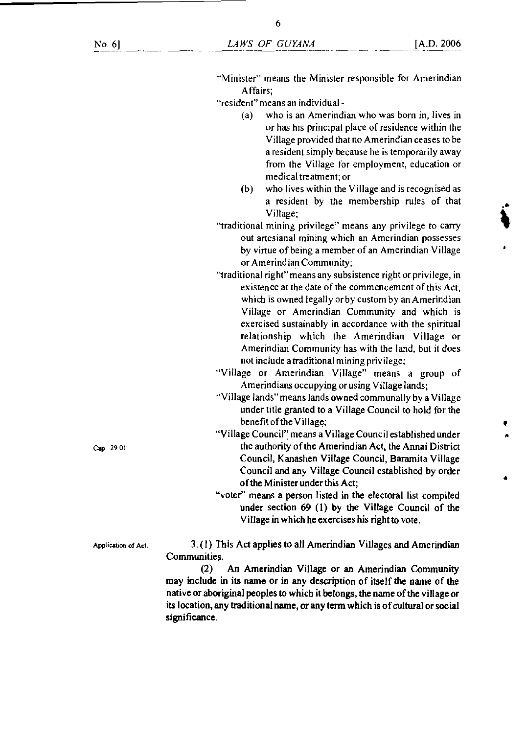"Minister" means the Minister responsible for Amerindian Affairs;

"resident" means an individual -

- (a) who is an Amerindian who was born in, lives in or has his principal place of residence within the Village provided that no Amerindian ceases to be a resident simply because he is temporarily away from the Village for employment, education or medical treatment; or
- (b) who lives within the Village and is recognised as a resident by the membership rules of that Village;
- "traditional mining privilege" means any privilege to carry out artesianal mining which an Amerindian possesses by virtue of being a member of an Amerindian Village or Amerindian Community;
- "traditional right" means any subsistence right or privilege, in existence at the date of the commencement of this Act, which is owned legally or by custom by an Amerindian Village or Amerindian Community and which is exercised sustainably in accordance with the spiritual relationship which the Amerindian Village or Amerindian Community has with the land, but it does not include a traditional mining privilege;
- "Village or Amerindian Village" means a group of Amerindians occupying or using Village lands;
- "Village lands" means lands owned communally by a Village under title granted to a Village Council to hold for the benefit of the Village;
- "Village Council" means a Village Council established under Cap. 29.01 the authority of the Amerindian Act, the Annai District Council, Kanashen Village Council, Baramita Village Council and any Village Council established by order of the Minister under this Act;
	- "voter" means a person listed in the electoral list compiled under section 69 (1) by the Village Council of the Village in which he exercises his right to vote.

Application of Act.  $3. (1)$  This Act applies to all Amerindian Villages and Amerindian Communities.

> (2) An Amerindian Village or an Amerindian Community may include in its name or in any description of itself the name of the native or aboriginal peoples to which it belongs, the name of the village or its location, any traditional name, or any term which is of cultural or social significance.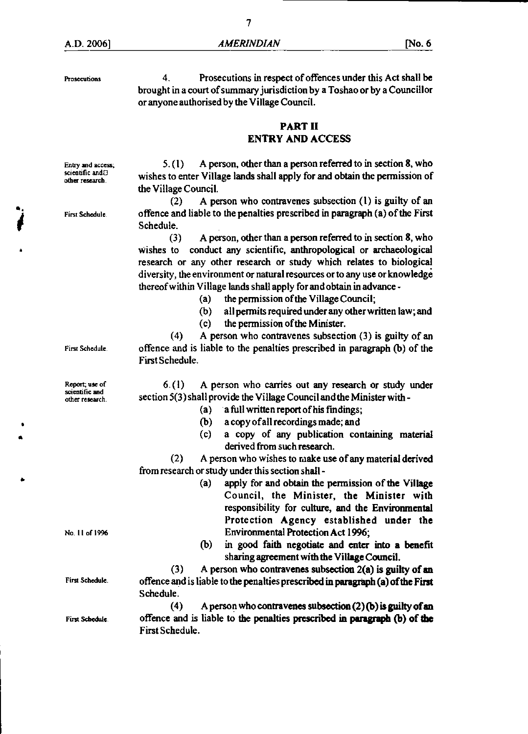Prosecutions 4. Prosecutions in respect of offences under this Act shall be brought in a court of summary jurisdiction by a Toshao or by a Councillor or anyone authorised by the Village Council.

### PART II ENTRY AND ACCESS

Entry and access;  $5. (1)$  A person, other than a person referred to in section 8, who scientific and  $\beta$ scientific and<sup>13</sup> wishes to enter Village lands shall apply for and obtain the permission of the Village Council.

(2) A person who contravenes subsection (1) is guilty of an First Schedule. offence and liable to the penalties prescribed in paragraph (a) of the First Schedule.

> (3) A person, other than a person referred to in section 8, who wishes to conduct any scientific, anthropological or archaeological research or any other research or study which relates to biological diversity, the environment or natural resources or to any use or knowledge thereof within Village lands shall apply for and obtain in advance -

- (a) the permission of the Village Council;
- (b) all permits required under any other written law; and
- (c) the permission of the Minister.

(4) A person who contravenes subsection (3) is guilty of an First Schedule offence and is liable to the penalties prescribed in paragraph (b) of the First Schedule.

Report; use of  $\qquad 6. (1)$  A person who carries out any research or study under section 5(3) shall provide the Village Council and the Minister with -

- (a) a full written report of his fmdings;
	- (b) a copy of all recordings made; and
	- (c) a copy of any publication containing material derived from such research.

(2) A person who wishes to make use of any material derived from research or study under this section shall -

- (a) apply for and obtain the permission of the Village Council, the Minister, the Minister with responsibility for culture, and the Environmental Protection Agency established under the No. 11 of 1996 Environmental Protection Act 1996;
	- (b) in good faith negotiate and enter into a benefit sharing agreement with the Village Council.

(3) A person who contravenes subsection 2(a) is guilty of **an**  First Schedule. offence and is liable to the penalties prescribed in paragraph (a) of the First Schedule.

(4) A person who contravenes subsection (2) (b) is guilty of **an**  First Schedule. offence and is liable to the penalties prescribed in paragraph (b) of the First Schedule.

scientific and<br>other research

•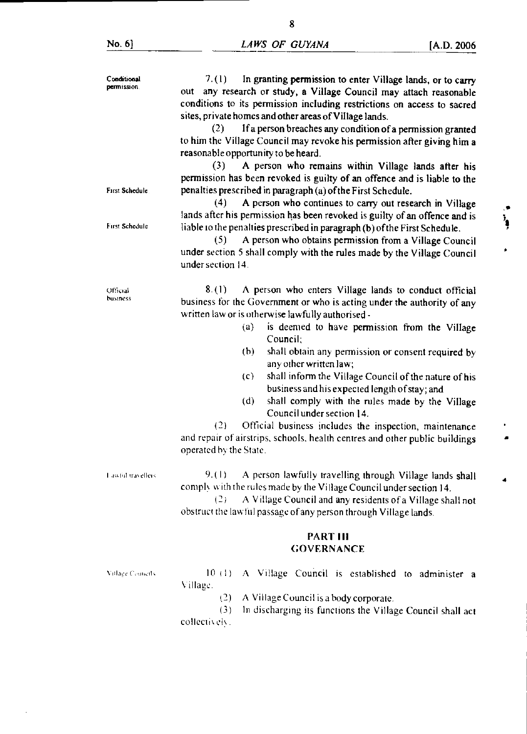l,

| Conditional<br>permission.<br>First Schedule.<br>First Schedule | 7. (1).<br>In granting permission to enter Village lands, or to carry<br>out any research or study, a Village Council may attach reasonable<br>conditions to its permission including restrictions on access to sacred<br>sites, private homes and other areas of Village lands.<br>If a person breaches any condition of a permission granted<br>(2)<br>to him the Village Council may revoke his permission after giving him a<br>reasonable opportunity to be heard.<br>A person who remains within Village lands after his<br>(3)<br>permission has been revoked is guilty of an offence and is liable to the<br>penalties prescribed in paragraph (a) of the First Schedule.<br>A person who continues to carry out research in Village<br>(4)<br>lands after his permission has been revoked is guilty of an offence and is<br>liable to the penalties prescribed in paragraph (b) of the First Schedule.<br>(5)<br>A person who obtains permission from a Village Council<br>under section 5 shall comply with the rules made by the Village Council<br>under section 14. | ì,<br>۵ |
|-----------------------------------------------------------------|----------------------------------------------------------------------------------------------------------------------------------------------------------------------------------------------------------------------------------------------------------------------------------------------------------------------------------------------------------------------------------------------------------------------------------------------------------------------------------------------------------------------------------------------------------------------------------------------------------------------------------------------------------------------------------------------------------------------------------------------------------------------------------------------------------------------------------------------------------------------------------------------------------------------------------------------------------------------------------------------------------------------------------------------------------------------------------|---------|
| Official<br>business                                            | 8.(1)<br>A person who enters Village lands to conduct official<br>business for the Government or who is acting under the authority of any<br>written law or is otherwise lawfully authorised -<br>is deemed to have permission from the Village<br>$\left( a\right)$<br>Council:<br>shall obtain any permission or consent required by<br>(b)<br>any other written law;<br>shall inform the Village Council of the nature of his<br>(c)<br>business and his expected length of stay; and<br>shall comply with the rules made by the Village<br>(d)<br>Council under section 14.<br>(2)<br>Official business includes the inspection, maintenance<br>and repair of airstrips, schools, health centres and other public buildings<br>operated by the State.                                                                                                                                                                                                                                                                                                                        |         |
| Lawful travellers                                               | 9.(1)<br>A person lawfully travelling through Village lands shall<br>comply with the rules made by the Village Council under section 14.<br>(2)<br>A Village Council and any residents of a Village shall not<br>obstruct the law ful passage of any person through Village lands.                                                                                                                                                                                                                                                                                                                                                                                                                                                                                                                                                                                                                                                                                                                                                                                               |         |
|                                                                 | <b>PART III</b><br><b>GOVERNANCE</b>                                                                                                                                                                                                                                                                                                                                                                                                                                                                                                                                                                                                                                                                                                                                                                                                                                                                                                                                                                                                                                             |         |
| Village Councils                                                | 10(1)<br>A Village Council is established to administer a<br>Village.<br>(2)<br>A Village Council is a body corporate.<br>(3)<br>In discharging its functions the Village Council shall act<br>collectively.                                                                                                                                                                                                                                                                                                                                                                                                                                                                                                                                                                                                                                                                                                                                                                                                                                                                     |         |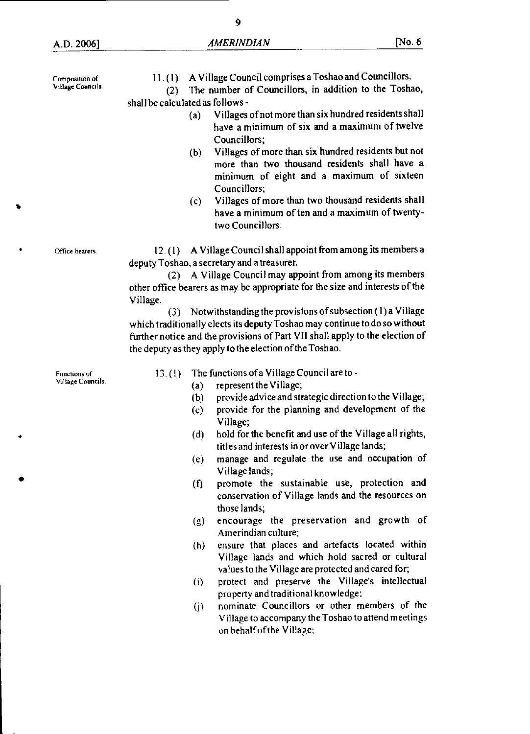Composition of Village Councils. Office bearers. Functions of Village Councils 11.(1) A Village Council comprises a Toshao and Councillors. (2) The number of Councillors, in addition to the Toshao, shall be calculated as follows - (a) Villages of not more than six hundred residents shall have a minimum of six and a maximum of twelve Councillors; (b) Villages of more than six hundred residents but not more than two thousand residents shall have a minimum of eight and a maximum of sixteen Councillors; (c) Villages of more than two thousand residents shall have a minimum of ten and a maximum of twentytwo Councillors. 12. (I) A Village Council shall appoint from among its members a deputy Toshao, a secretary and a treasurer. (2) A Village Council may appoint from among its members other office bearers as may be appropriate for the size and interests of the Village. (3) Notwithstanding the provisions of subsection (1) a Village which traditionally elects its deputy Toshao may continue to do so without further notice and the provisions of Part VII shall apply to the election of the deputy as they apply to the election of the Toshao. 13. (I) The functions of a Village Council are to - (a) represent the Village; (b) provide advice and strategic direction to the Village; (c) provide for the planning and development of the Village; (d) hold for the benefit and use of the Village all rights, titles and interests in or over Village lands; (e) manage and regulate the use and occupation of Village lands; (f) promote the sustainable use, protection and conservation of Village lands and the resources on those lands; (g) encourage the preservation and growth of Amerindian culture; (h) ensure that places and artefacts located within Village lands and which hold sacred or cultural values to the Village are protected and cared for; (i) protect and preserve the Village's intellectual property and traditional knowledge; (j) nominate Councillors or other members of the Village to accompany the Toshao to attend meetings

on behalf of the Village;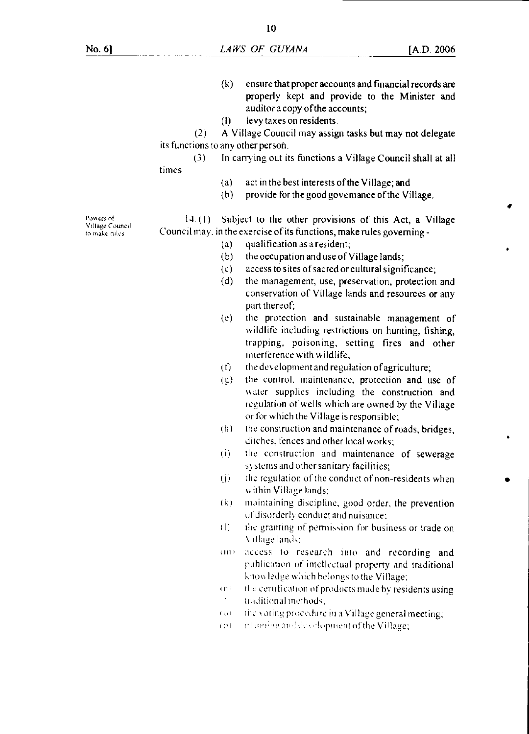10

- (k) ensure that proper accounts and financial records are properly kept and provide to the Minister and auditor a copy of the accounts;
- (I) levy taxes on residents.

(2) A Village Council may assign tasks but may not delegate its functions to any other person.

- (3) In carrying out its functions a Village Council shall at all times
	- (a) act in the best interests of the Village; and
	- (h) provide for the good governance of the Village.

14. (1) Subject to the other provisions of this Act, a Village Council may. in the exercise of its functions, make rules governing -

- (a) qualification as a resident;
- (b) the occupation and use of Village lands;
- (c) access to sites of sacred or cultural significance;
- (d) the management, use, preservation, protection and conservation of Village lands and resources or any part thereof;
- (e) the protection and sustainable management of wildlife including restrictions on hunting, fishing, trapping, poisoning, setting fires and other interference with wildlife;
- $(t)$  the development and regulation of agriculture;
- g) the control, maintenance, protection and use of water supplies including the construction and regulation of wells which are owned by the Village or for which the Village is responsible;
- (h) the construction and maintenance of roads, bridges, ditches, fences and other local works;
- (i) the construction and maintenance of sewerage systems and other sanitary facilities;
- (j) the regulation of the conduct of non-residents when s ithin Village lands;
- $(k)$  maintaining discipline, good order, the prevention of disorderly conduct and nuisance;
- (1) the granting of permission for business or trade on Village lands:
- (in) access to research into and recording and puhlication of intellectual property and traditional know. ledge which belongs to the Village;
- (n) the certification of products made by residents using traditional methods;
- $(a)$  the voting procedure in a Village general meeting;
- i (M) rd inning and development of the Village;

Powers of Vffiage Council to make rules.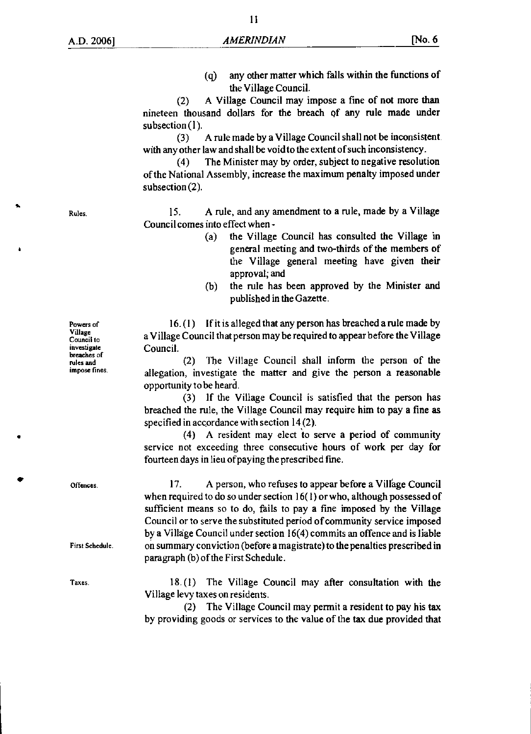(q) any other matter which falls within the functions of the Village Council.

(2) A Village Council may impose a fine of not more than nineteen thousand dollars for the breach of any rule made under subsection (1).

(3) A rule made by a Village Council shall not be inconsistent with any other law and shall be void to the extent of such inconsistency.

(4) The Minister may by order, subject to negative resolution of the National Assembly, increase the maximum penalty imposed under subsection (2).

Rules. 15. A rule, and any amendment to a rule, made by a Village Council comes into effect when -

- (a) the Village Council has consulted the Village in general meeting and two-thirds of the members of the Village general meeting have given their approval; and
- (b) the rule has been approved by the Minister and published in the Gazette.

16. (I) If it is alleged that any person has breached a rule made by a Village Council that person may be required to appear before the Village Council.

(2) The Village Council shall inform the person of the allegation, investigate the matter and give the person a reasonable opportunity to be heard.

(3) If the Village Council is satisfied that the person has breached the rule, the Village Council may require him to pay a fine as specified in accordance with section 14(2).

(4) A resident may elect to serve a period of community service not exceeding three consecutive hours of work per day for fourteen days in lieu of paying the prescribed fine.

17. A person, who refuses to appear before a Village Council when required to do so under section 16(1) or who, although possessed of sufficient means so to do, fails to pay a fine imposed by the Village Council or to serve the substituted period of community service imposed by a Village Council under section 16(4) commits an offence and is liable on summary conviction (before a magistrate) to the penalties prescribed in paragraph (b) of the First Schedule.

18. (1) The Village Council may after consultation with the Village levy taxes on residents.

(2) The Village Council may permit a resident to pay his tax by providing goods or services to the value of the tax due provided that

Powers of Village Council to investigate breaches of rules and impose fines.

First Schedule.

Offences.

Taxes.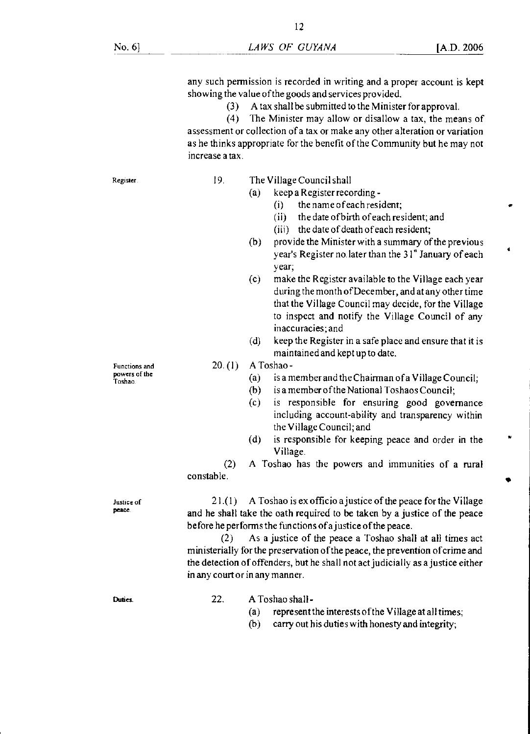any such permission is recorded in writing and a proper account is kept showing the value of the goods and services provided.

- (3) A tax shall be submitted to the Minister for approval.
- (4) The Minister may allow or disallow a tax, the means of

assessment or collection of a tax or make any other alteration or variation as he thinks appropriate for the benefit of the Community but he may not increase a tax.

Register.

- 19. The Village Council shall
	- (a) keep a Register recording
		- (i) the name of each resident;
		- (ii) the date of birth of each resident; and
		- (iii) the date of death of each resident;
	- (b) provide the Minister with a summary of the previous year's Register no later than the 31" January of each year;
	- (c) make the Register available to the Village each year during the month of December, and at any other time that the Village Council may decide, for the Village to inspect and notify the Village Council of any inaccuracies; and
	- (d) keep the Register in a safe place and ensure that it is maintained and kept up to date.

20. (1) A Toshao-

- (a) is a member and the Chairman of a Village Council;
- (b) is a member of the National Toshaos Council;
- (c) is responsible for ensuring good governance including account-ability and transparency within the Village Council; and
- (d) is responsible for keeping peace and order in the Village.

(2) A Toshao has the powers and immunities of a rural constable.

21.(1) A Toshao is ex officio a justice of the peace for the Village and he shall take the oath required to be taken by a justice of the peace before he performs the functions of ajustice of the peace.

(2) As a justice of the peace a Toshao shall at all times act ministerially for the preservation of the peace, the prevention of crime and the detection of offenders, but he shall not act judicially as a justice either in any court or in any manner.

**Duties** 

- 22. A Toshao shall
	- (a) represent the interests of the Village at all times;
	- (b) carry out his duties with honesty and integrity;

Functions and powers of the Toshao.

Justice of peace.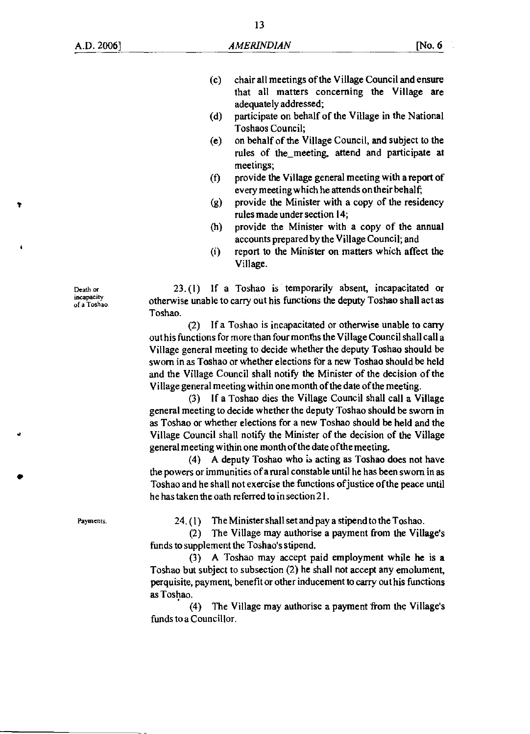- (c) chair all meetings of the Village Council and ensure that all matters concerning the Village are adequately addressed;
- (d) participate on behalf of the Village in the National Toshaos Council;
- (e) on behalf of the Village Council, and subject to the rules of the\_meeting, attend and participate at meetings;
- (f) provide the Village general meeting with a report of every meeting which he attends on their behalf;
- (g) provide the Minister with a copy of the residency rules made under section 14;
- (h) provide the Minister with a copy of the annual accounts prepared by the Village Council; and
- (i) report to the Minister on matters which affect the Village.

23. (1) If a Toshao is temporarily absent, incapacitated or otherwise unable to carry out his functions the deputy Toshao shall act as Toshao.

(2) If a Toshao is incapacitated or otherwise unable to carry out his functions for more than four months the Village Council shall call a Village general meeting to decide whether the deputy Toshao should be sworn in as Toshao or whether elections for a new Toshao should be held and the Village Council shall notify the Minister of the decision of the Village general meeting within one month of the date of the meeting.

(3) If a Toshao dies the Village Council shall call a Village general meeting to decide whether the deputy Toshao should be sworn in as Toshao or whether elections for a new Toshao should be held and the Village Council shall notify the Minister of the decision of the Village general meeting within one month of the date of the meeting.

(4) A deputy Toshao who is acting as Toshao does not have the powers or immunities of a rural constable until he has been sworn in as Toshao and he shall not exercise the functions of justice of the peace until he has taken the oath referred to in section 21.

Payments.

Death or incapacity<br>of a Toshao.

24. (1) The Minister shall set and pay a stipend to the Toshao.

(2) The Village may authorise a payment from the Village's funds to supplement the Toshao's stipend.

(3) A Toshao may accept paid employment while he is a Toshao but subject to subsection (2) he shall not accept any emolument, perquisite, payment, benefit or other inducement to carry out his functions as Toshao.

(4) The Village may authorise a payment from the Village's funds to a Councillor.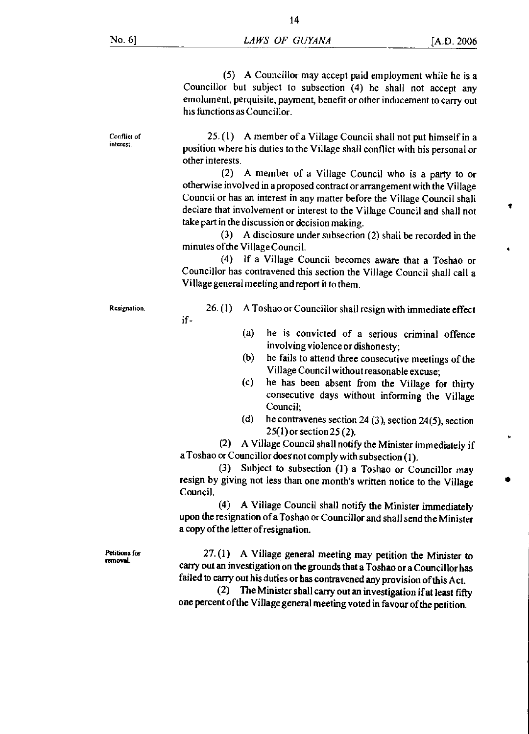Conflict of interest.

(5) A Councillor may accept paid employment while he is a Councillor but subject to subsection (4) he shall not accept any emolument, perquisite, payment, benefit or other inducement to carry out his functions as Councillor.

25. (I) A member of a Village Council shall not put himself in a position where his duties to the Village shall conflict with his personal or other interests.

(2) A member of a Village Council who is a party to or otherwise involved in a proposed contract or arrangement with the Village Council or has an interest in any matter before the Village Council shall declare that involvement or interest to the Village Council and shall not take part in the discussion or decision making.

(3) A disclosure under subsection (2) shall be recorded in the minutes of the Village Council.

(4) If a Village Council becomes aware that a Toshao or Councillor has contravened this section the Village Council shall call a Village general meeting and report it to them.

if-

- Resignation. 26. (1) A Toshao or Councillor shall resign with immediate effect
	- (a) he is convicted of a serious criminal offence involving violence or dishonesty;
	- (b) he fails to attend three consecutive meetings of the Village Council without reasonable excuse;
	- (c) he has been absent from the Village for thirty consecutive days without informing the Village Council;
	- (d) he contravenes section 24 (3), section 24(5), section 25(1) or section 25 (2).

(2) A Village Council shall notify the Minister immediately if a Toshao or Councillor doesnot comply with subsection (I).

(3) Subject to subsection (1) a Toshao or Councillor may resign by giving not less than one month's written notice to the Village Council.

(4) A Village Council shall notify the Minister immediately upon the resignation of a Toshao or Councillor and shall send the Minister a copy of the letter of resignation.

Petitions for removal.

27.(1) A Village general meeting may petition the Minister to carry out an investigation on the grounds that a Toshao or a Councillor has failed to carry out his duties or has contravened any provision of this Act.

(2) The Minister shall carry out an investigation if at least fifty one percent of the Village general meeting voted in favour of the petition.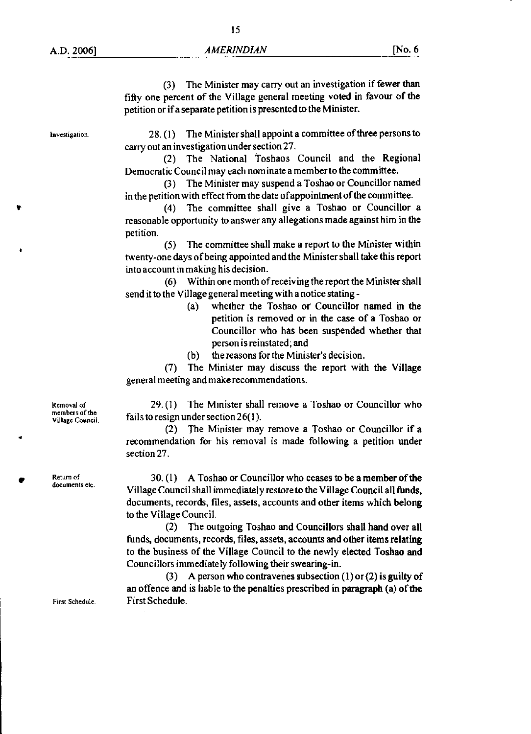(3) The Minister may carry out an investigation if fewer than fifty one percent of the Village general meeting voted in favour of the petition or if a separate petition is presented to the Minister.

Investigation.

28.(1) The Minister shall appoint a committee of three persons to carry out an investigation under section 27.

(2) The National Toshaos Council and the Regional Democratic Council may each nominate a member to the committee.

(3) The Minister may suspend a Toshao or Councillor named in the petition with effect from the date of appointment of the committee.

(4) The committee shall give a Toshao or Councillor a reasonable opportunity to answer any allegations made against him in the petition.

(5) The committee shall make a report to the Minister within twenty-one days of being appointed and the Minister shall take this report into account in making his decision.

(6) Within one month of receiving the report the Minister shall send it to the Village general meeting with a notice stating -

- (a) whether the Toshao or Councillor named in the petition is removed or in the case of a Toshao or Councillor who has been suspended whether that person is reinstated; and
- (b) the reasons for the Minister's decision.

(7) The Minister may discuss the report with the Village general meeting and make recommendations.

 $29. (1)$  The Minister shall remove a Toshao or Councillor who fails to resign under section  $26(1)$ .

(2) The Minister may remove a Toshao or Councillor if a recommendation for his removal is made following a petition under section 27.

**Return of** 30. (1) A Toshao or Councillor who ceases to be a member of the documents etc. Village Council shall immediately restore to the Village Council all funds, documents, records, files, assets, accounts and other items which belong to the Village Council.

> (2) The outgoing Toshao and Councillors shall hand over all funds, documents, records, files, assets, accounts and other items relating to the business of the Village Council to the newly elected Toshao and Councillors immediately following their swearing-in.

(3) A person who contravenes subsection  $(1)$  or  $(2)$  is guilty of an offence and is liable to the penalties prescribed in paragraph (a) of the First Schedule First Schedule.

Removal of members of the Village Council.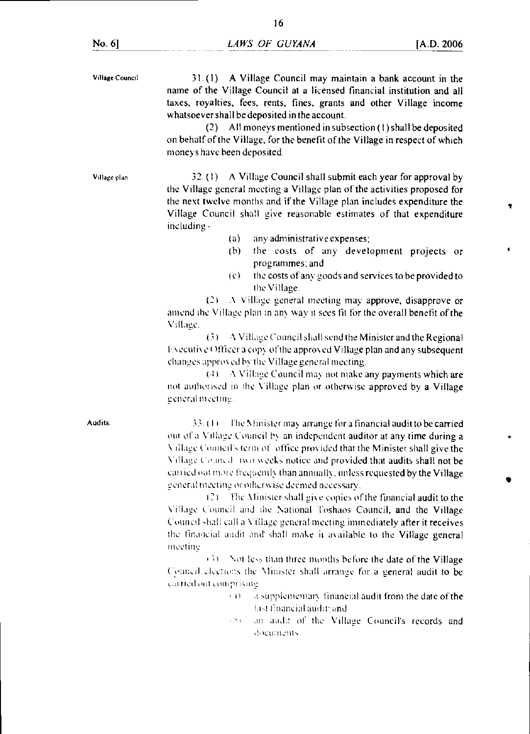٠

| Village Council | 31.(1) A Village Council may maintain a bank account in the<br>name of the Village Council at a licensed financial institution and all<br>taxes, royalties, fees, rents, fines, grants and other Village income<br>whatsoever shall be deposited in the account.<br>(2) All moneys mentioned in subsection (1) shall be deposited<br>on behalf of the Village, for the benefit of the Village in respect of which<br>moneys have been deposited.                                                                                                                                                                                                                                                                                                     |  |  |
|-----------------|------------------------------------------------------------------------------------------------------------------------------------------------------------------------------------------------------------------------------------------------------------------------------------------------------------------------------------------------------------------------------------------------------------------------------------------------------------------------------------------------------------------------------------------------------------------------------------------------------------------------------------------------------------------------------------------------------------------------------------------------------|--|--|
| Village plan    | 32.(1) A Village Council shall submit each year for approval by<br>the Village general meeting a Village plan of the activities proposed for<br>the next twelve months and if the Village plan includes expenditure the<br>Village Council shall give reasonable estimates of that expenditure<br>including-                                                                                                                                                                                                                                                                                                                                                                                                                                         |  |  |
|                 | any administrative expenses;<br>(a)                                                                                                                                                                                                                                                                                                                                                                                                                                                                                                                                                                                                                                                                                                                  |  |  |
|                 | the costs of any development projects or<br>(b)<br>programmes; and                                                                                                                                                                                                                                                                                                                                                                                                                                                                                                                                                                                                                                                                                   |  |  |
|                 | the costs of any goods and services to be provided to<br>(c)<br>the Village.                                                                                                                                                                                                                                                                                                                                                                                                                                                                                                                                                                                                                                                                         |  |  |
|                 | A Village general meeting may approve, disapprove or<br>(2)<br>amend the Village plan in any way it sees fit for the overall benefit of the<br>Village.                                                                                                                                                                                                                                                                                                                                                                                                                                                                                                                                                                                              |  |  |
|                 | A Village Council shall send the Minister and the Regional<br>(3)<br>Executive Officer a copy of the approved Village plan and any subsequent<br>changes approved by the Village general meeting.<br>A Village Council may not make any payments which are<br>(4)<br>not authorised in the Village plan or otherwise approved by a Village<br>general meeting.                                                                                                                                                                                                                                                                                                                                                                                       |  |  |
| Audits.         | The Minister may arrange for a financial audit to be carried<br>33. OO<br>out of a Village Council by an independent auditor at any time during a<br>Village Council's term of office provided that the Minister shall give the<br>Village Cenned two weeks notice and provided that audits shall not be<br>carried out more frequently than annually, unless requested by the Village<br>general meeting or otherwise deemed necessary.<br>(2) The Minister shall give copies of the financial audit to the<br>Village Council and the National Toshaos Council, and the Village<br>Council shall call a Village general meeting immediately after it receives<br>the financial audit and shall make it available to the Village general<br>meeting |  |  |
|                 | - 34<br>Not less than three months before the date of the Village                                                                                                                                                                                                                                                                                                                                                                                                                                                                                                                                                                                                                                                                                    |  |  |
|                 | Council elections the Minister shall arrange for a general audit to be                                                                                                                                                                                                                                                                                                                                                                                                                                                                                                                                                                                                                                                                               |  |  |
|                 | carried out comprising                                                                                                                                                                                                                                                                                                                                                                                                                                                                                                                                                                                                                                                                                                                               |  |  |
|                 | a supplementary financial audit from the date of the<br>1 H H<br>last tinancial audit; and                                                                                                                                                                                                                                                                                                                                                                                                                                                                                                                                                                                                                                                           |  |  |
|                 | an audit of the Village Council's records and<br>i bi<br>documents.                                                                                                                                                                                                                                                                                                                                                                                                                                                                                                                                                                                                                                                                                  |  |  |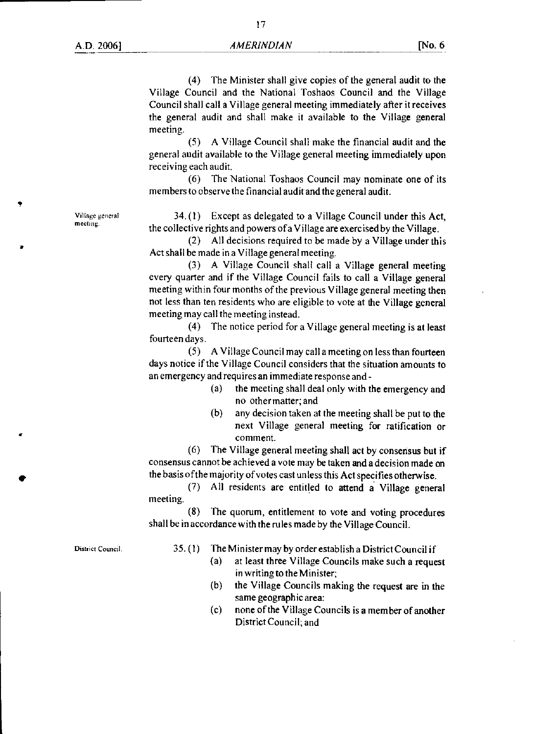Village general meeting.

(4) The Minister shall give copies of the general audit to the Village Council and the National Toshaos Council and the Village Council shall call a Village general meeting immediately after it receives the general audit and shall make it available to the Village general meeting.

(5) A Village Council shall make the financial audit and the general audit available to the Village general meeting immediately upon receiving each audit.

(6) The National Toshaos Council may nominate one of its members to observe the financial audit and the general audit.

34. (1) Except as delegated to a Village Council under this Act, the collective rights and powers of a Village are exercised by the Village.

(2) All decisions required to be made by a Village under this Act shall be made in a Village general meeting.

(3) A Village Council shall call a Village general meeting every quarter and if the Village Council fails to call a Village general meeting within four months of the previous Village general meeting then not less than ten residents who are eligible to vote at the Village general meeting may call the meeting instead.

(4) The notice period for a Village general meeting is at least fourteen days.

(5) A Village Council may call a meeting on less than fourteen days notice if the Village Council considers that the situation amounts to an emergency and requires an immediate response and -

- (a) the meeting shall deal only with the emergency and no other matter; and
- (b) any decision taken at the meeting shall be put to the next Village general meeting for ratification or comment.

(6) The Village general meeting shall act by consensus but if consensus cannot be achieved a vote may be taken and a decision made on the basis of the majority of votes cast unless this Act specifies otherwise.

(7) All residents are entitled to attend a Village general meeting.

(8) The quorum, entitlement to vote and voting procedures shall be in accordance with the rules made by the Village Council.

District Council.

35. (1) The Minister may by order establish a District Council if

- (a) at least three Village Councils make such a request in writing to the Minister;
- (b) the Village Councils making the request are in the same geographic area:
- (c) none of the Village Councils is a member of another District Council; and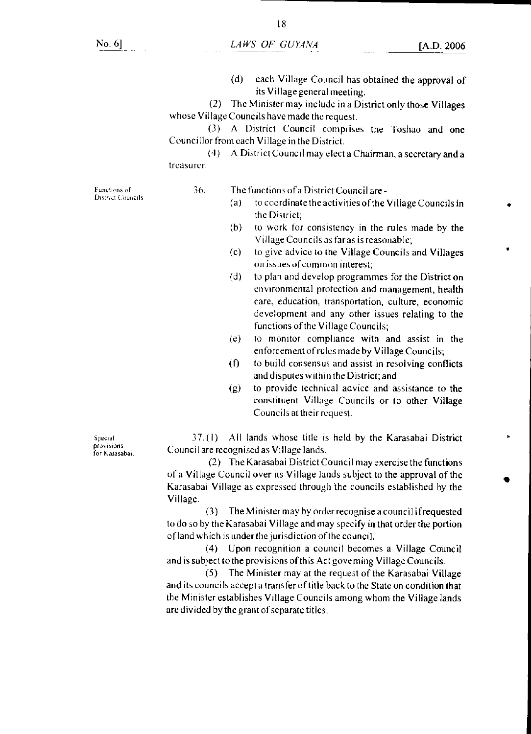(d) each Village Council has obtained the approval of its Village general meeting.

(2) The Minister may include in a District only those Villages whose Village Councils have made the request.

(3) A District Council comprises the Toshao and one Councillor from each Village in the District.

(4) A District Council may elect a Chairman, a secretary and a treasurer.

Functions of District Councils 36. The functions of a District Council are -

- (a) to coordinate the activities of the Village Councils in the District;
- (b) to work for consistency in the rules made by the Village Councils as far as is reasonable;
- (c) to give advice to the Village Councils and Villages on issues of common interest;
- (d) to plan and develop programmes for the District on environmental protection and management, health care, education, transportation, culture, economic development and any other issues relating to the functions of the Village Councils;
- (e) to monitor compliance with and assist in the enforcement of rules made by Village Councils;
- (f) to build consensus and assist in resolving conflicts and disputes within the District; and
- (g) to provide technical advice and assistance to the constituent Village Councils or to other Village Councils at their request.

 $37.(1)$  All lands whose title is held by the Karasabai District Council are recognised as Village lands.

(2) The Karasabai District Council may exercise the functions of a Village Council over its Village lands subject to the approval of the Karasabai Village as expressed through the councils established by the Village.

(3) The Minister may by order recognise a council ifrequested to do so by the Karasabai Village and may specify in that order the portion of land which is under the jurisdiction of the council.

(4) Upon recognition a council becomes a Village Council and is subject to the provisions of this Act governing Village Councils.

(5) The Minister may at the request of the Karasabai Village and its councils accept a transfer of title back to the State on condition that the Minister establishes Village Councils among whom the Village lands are divided bythe grant of separate titles.

Special provisions for Karasabai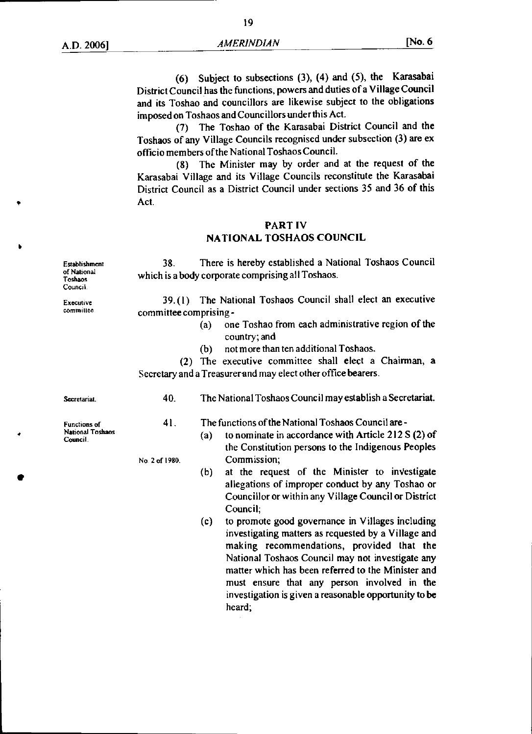(6) Subject to subsections (3), (4) and (5), the Karasabai District Council has the functions, powers and duties of a Village Council and its Toshao and councillors are likewise subject to the obligations imposed on Toshaos and Councillors under this Act.

(7) The Toshao of the Karasabai District Council and the Toshaos of any Village Councils recognised under subsection (3) are ex officio members of the National Toshaos Council.

(8) The Minister may by order and at the request of the Karasabai Village and its Village Councils reconstitute the Karasabai District Council as a District Council under sections 35 and 36 of this Act.

#### **PART IV NATIONAL TOSHAOS COUNCIL**

Establishment 38. There is hereby established a National Toshaos Council which is a body corporate comprising all Toshaos.

Executive 39.(1) The National Toshaos Council shall elect an executive committee committee committee committee committee comprising -

- (a) one Toshao from each administrative region of the country; and
- (b) not more than ten additional Toshaos.

(2) The executive committee shall elect a Chairman, a Secretary and a Treasurer and may elect other office bearers.

**Secretariat** 

of National<br>Toshaos

Council.

Functions of National Toshaos Council.

40. The National Toshaos Council may establish a Secretariat.

(b) at the request of the Minister to inVestigate allegations of improper conduct by any Toshao or Councillor or within any Village Council or District

(c) to promote good governance in Villages including investigating matters as requested by a Village and making recommendations, provided that the National Toshaos Council may not investigate any matter which has been referred to the Minister **and**  must ensure that any person involved in the investigation is given a reasonable opportunity to be

(a) to nominate in accordance with Article 212 S (2) of the Constitution persons to the Indigenous Peoples

41. The functions of the National Toshaos Council are -

Council;

heard;

No 2 of 1980. Commission;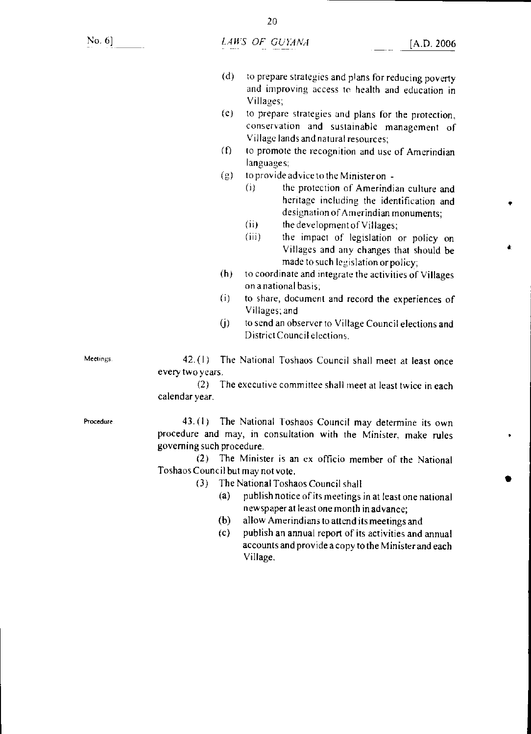No. 6]

- (d) to prepare strategies and plans for reducing poverty and improving access to health and education in Villages;
- (e) to prepare strategies and plans for the protection, conservation and sustainable management of Village lands and natural resources;
- $(6)$  to promote the recognition and use of Amerindian languages;
- (g) to provide advice to the Minister on
	- (i) the protection of Amerindian culture and heritage including the identification and designation of Amerindian monuments;
	- (ii) the development of Villages;
	- (iii) the impact of legislation or policy on Villages and any changes that should be made to such legislation or policy;
- (h) to coordinate and integrate the activities of Villages on a national basis;
- (i) to share, document and record the experiences of Villages; and
- (j) to send an observer to Village Council elections and District Council elections.

Meetings.

42. (I) The National Toshaos Council shall meet at least once every two years.

(2) The executive committee shall meet at least twice in each calendar year.

Procedure

43. (I) The National Toshaos Council may determine its own procedure and may, in consultation with the Minister, make rules governing such procedure.

(2) The Minister is an ex officio member of the National Toshaos Council but may not vote.

- (3) The National Toshaos Council shall
	- (a) publish notice of its meetings in at least one national newspaper at least one month in advance;
	- (b) allow Amerindians to attend its meetings and
	- (c) publish an annual report of its activities and annual accounts and provide a copy to the Minister and each Village.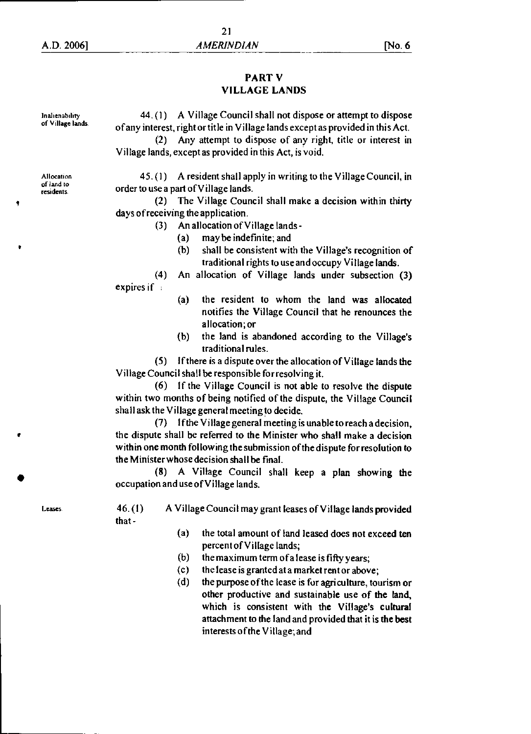### PART V VILLAGE LANDS

of V illage lands. Inalienability

44. (1) A Village Council shall not dispose or attempt to dispose of any interest, right or title in Village lands except as provided in this Act.

(2) Any attempt to dispose of any right, title or interest in Village lands, except as provided in this Act, is void.

45. (I) A resident shall apply in writing to the Village Council, in order to use a part of Village lands.

(2) The Village Council shall make a decision within thirty days of receiving the application.

(3) An allocation of Village lands -

- (a) may be indefinite; and
- (b) shall be consistent with the Village's recognition of traditional rights to use and occupy Village lands.

(4) An allocation of Village lands under subsection (3) expires if

- (a) the resident to whom the land was allocated notifies the Village Council that he renounces the allocation; or
- (b) the land is abandoned according to the Village's traditional rules.

(5) If there is a dispute over the allocation of Village lands the Village Council shall be responsible for resolving it.

(6) If the Village Council is not able to resolve the dispute within two months of being notified of the dispute, the Village Council shall ask the Village general meeting to decide.

(7) If the Village general meeting is unable to reach a decision, the dispute shall be referred to the Minister who shall make a decision within one month following the submission of the dispute for resolution to the Minister whose decision shall be final.

(8) A Village Council shall keep a plan showing the occupation and use of Village lands.

Leases 46.(1) A Village Council may grant leases of Village lands provided that -

- (a) the total amount of land leased does not exceed ten percent of Village lands;
- (b) the maximum term of a lease is fifty years;
- (c) the lease is granted at a market rent or above;
- (d) the purpose of the lease is for agriculture, tourism or other productive and sustainable use of the land, which is consistent with the Village's cultural attachment to the land and provided that it is the best interests of the Village; and

Allocation of land to residents.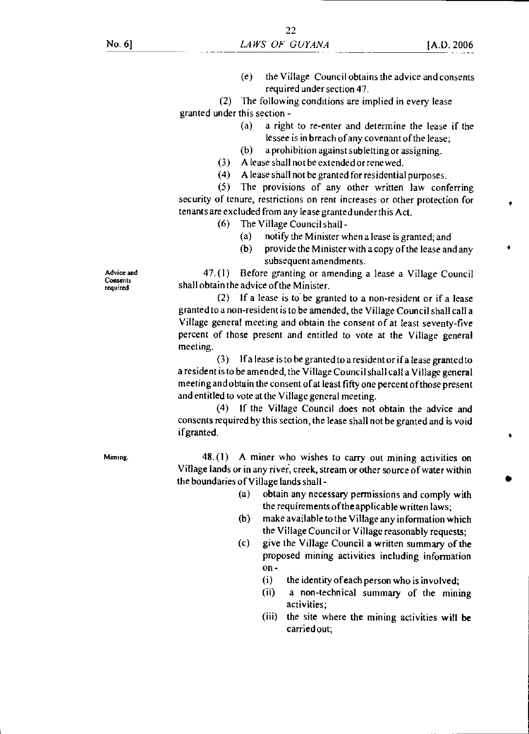(e) the Village Council obtains the advice and consents required under section 47.

(2) The following conditions are implied in every lease granted under this section -

- (a) a right to re-enter and determine the lease if the lessee is in breach of any covenant of the lease;
- (b) a prohibition against subletting or assigning.
- (3) A lease shall not be extended or renewed.
- (4) A lease shall not be granted for residential purposes.

(5) The provisions of any other written law conferring security of tenure, restrictions on rent increases or other protection for tenants are excluded from any lease granted under this Act.

- (6) The Village Council shall
	- (a) notify the Minister when a lease is granted; and
	- (b) provide the Minister with a copy of the lease and any subsequent amendments.

47. (1) Before granting or amending a lease a Village Council shall obtain the advice of the Minister.

(2) If a lease is to be granted to a non-resident or if a lease granted to a non-resident is to be amended, the Village Council shall call a Village general meeting and obtain the consent of at least seventy-five percent of those present and entitled to vote at the Village general meeting.

(3) If a lease is to be granted to a resident or if a lease granted to a resident is to be amended, the Village Council shall call a Village general meeting and obtain the consent of at least fifty one percent of those present and entitled to vote at the Village general meeting.

(4) If the Village Council does not obtain the advice and consents required by this section, the lease shall not be granted and is void if granted.

Miming. 48. (1) A miner who wishes to carry out mining activities on Village lands or in any river, creek, stream or other source of water within the boundaries of Village lands shall -

- (a) obtain any necessary permissions and comply with the requirements of the applicable written laws;
- (b) make available to the Village any information which the Village Council or Village reasonably requests;
- (c) give the Village Council a written summary of the proposed mining activities including information on -
	- (i) the identity of each person who is involved;
	- (ii) a non-technical summary of the mining activities;
	- (iii) the site where the mining activities will be carried out;

Advice and Consents required.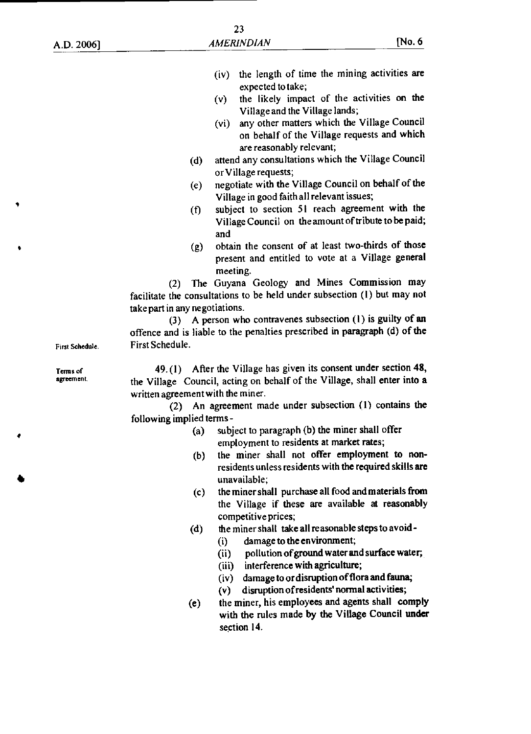- (iv) the length of time the mining activities are expected to take;
- (v) the likely impact of the activities on the Village and the Village lands;
- (vi) any other matters which the Village Council on behalf of the Village requests and which are reasonably relevant;
- (d) attend any consultations which the Village Council or Village requests;
- (e) negotiate with the Village Council on behalf of the Village in good faith all relevant issues;
- (f) subject to section 51 reach agreement with the Village Council on the amount of tribute to be paid; and
- (g) obtain the consent of at least two-thirds of those present and entitled to vote at a Village general meeting.

(2) The Guyana Geology and Mines Commission may facilitate the consultations to be held under subsection (1) but may not take part in any negotiations.

(3) A person who contravenes subsection (1) is guilty of an offence and is liable to the penalties prescribed in paragraph (d) of the First Schedule.

First Schedule. Terms of

agreement.

49. (1) After the Village has given its consent under section **48,**  the Village Council, acting on behalf of the Village, shall enter into a written agreement with the miner.

(2) An agreement made under subsection (1) contains the following implied terms -

- (a) subject to paragraph (b) the miner shall offer employment to residents at market rates;
- (b) the miner shall not offer employment to nonresidents unless residents with the required skills are unavailable;
- (c) the miner shall purchase all food and materials from the Village if these are available at reasonably competitive prices;
- (d) the miner shall take all reasonable steps to avoid
	- (i) damage to the environment;
	- (ii) pollution of ground water and surface water;
	- (iii) interference with agriculture;
	- (iv) damage to or disruption of flora and fauna;
	- (v) disruption of residents' normal activities;
- (e) the miner, his employees and agents shall comply with the rules made by the Village Council under section 14.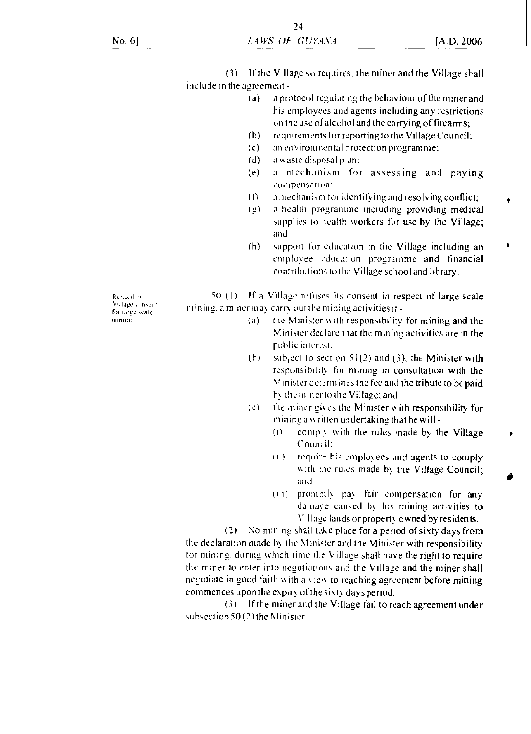(3) If the Village so requires, the miner and the Village shall include in the agreement -

- (a) a protocol regulating the behaviour of the miner and his employees and agents including any restrictions on the use of alcohol and the carrying of firearms;
- (b) requirements for reporting to the Village Council;
- ( c) an environmental protection programme;
- (d) a waste disposal plan;
- (e) a mechanism for assessing and paying compensation:
- (I) a mechanism for identifying and resolving conflict;
- $(g)$  a health programme including providing medical supplies to health workers for use by the Village; and
- (h) support for education in the Village including an employee education programme and financial contributions to the Village school and library.

Rehisal of Village consont for large scale mining

 $50.$  (1) If a Village refuses its consent in respect of large scale inine. a miner may carts out the mining activities if-

- (a) the Minister with responsibility for mining and the Minister declare that the mining activities are in the public interest:
- (b) subject to section  $51(2)$  and (3), the Minister with responsibility for mining in consultation with the Minister determines the fee and the tribute to be paid bs the miner to the Village: and
- $(c)$  the miner gives the Minister with responsibility for mining a written undertaking that he will -
	- $(i)$  comply with the rules made by the Village Council:
	- (ii) require his employees and agents to comply with the rules made by the Village Council; and
	- (iii) promptly pay fair compensation for any damage caused by his mining activities to Village lands or propeny owned by residents.

(2) No mining shall take place for a period of sixty days from

the declaration made by the Minister and the Minister with responsibility for mining, during which time the Village shall have the right to require the miner to enter into negotiations and the Village and the miner shall negotiate in good faith with a view to reaching agreement before mining commences upon the expin of the sixty days period.

(3) If the miner and the Village fail to reach agreement under subsection 50 (2) the Minister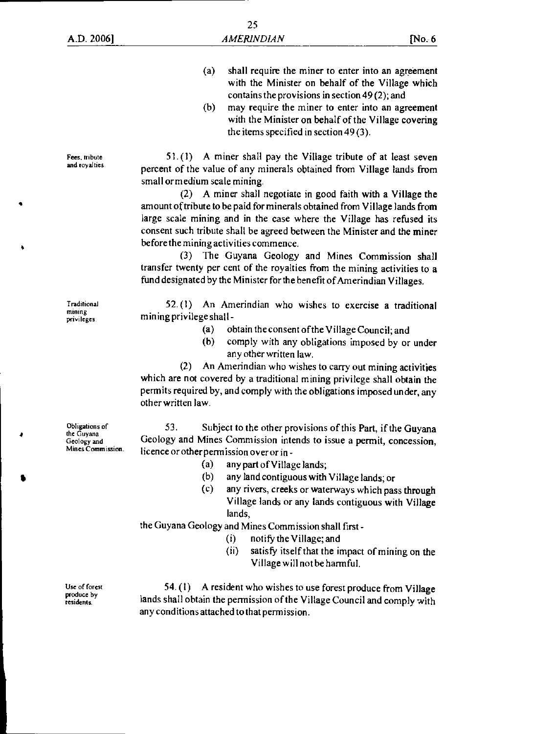- (a) shall require the miner to enter into an agreement with the Minister on behalf of the Village which contains the provisions in section 49 (2); and
- (b) may require the miner to enter into an agreement with the Minister on behalf of the Village covering the items specified in section 49 (3).

51.(1) A miner shall pay the Village tribute of at least seven percent of the value of any minerals obtained from Village lands from small or medium scale mining.

(2) A miner shall negotiate in good faith with a Village the amount of tribute to be paid for minerals obtained from Village lands from large scale mining and in the case where the Village has refused its consent such tribute shall be agreed between the Minister and the miner before the mining activities commence.

(3) The Guyana Geology and Mines Commission shall transfer twenty per cent of the royalties from the mining activities to a fund designated by the Minister for the benefit of Amerindian Villages.

52.(1) An Amerindian who wishes to exercise a traditional mining privilege shall -

- (a) obtain the consent of the Village Council; and
- (b) comply with any obligations imposed by or under any other written law.

(2) An Amerindian who wishes to carry out mining activities which are not covered by a traditional mining privilege shall obtain the permits required by, and comply with the obligations imposed under, any other written law.

53. Subject to the other provisions of this Part, if the Guyana Geology and Mines Commission intends to issue a permit, concession, licence or other permission over or in -

- (a) any part of Village lands;
- (b) any land contiguous with Village lands; or
- (c) any rivers, creeks or waterways which pass through Village lands or any lands contiguous with Village lands,

the Guyana Geology and Mines Commission shall first -

- (i) notify the Village; and
- (ii) satisfy itself that the impact of mining on the Village will not be harmful.

54. (I) A resident who wishes to use forest produce from Village lands shall obtain the permission of the Village Council and comply with any conditions attached to that permission.

Obligations of the Guyana Geology and

Mines Commission.

Use of forest produce by residents.

Fees, tribute and royalties.

Traditional mining privileges.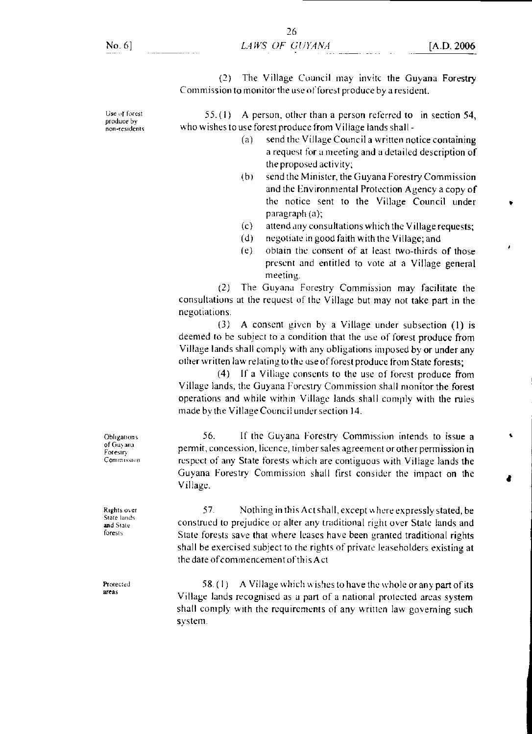(2) The Village Council may invitc the Guyana Forestry Commission to monitor the use of forest produce by a resident.

55. (I) A person, other than a person referred to in section 54, who wishes to use forest produce from Village lands shall -

- (a) send the Village Council a written notice containing a request for a meeting and a detailed description of the proposed activity;
- (b) send the Minister, the Guyana Forestry Commission and the Environmental Protection Agency a copy of the notice sent to the Village Council under paragraph (a);
- (c) attend any consultations which the Village requests;
- (d) negotiate in good faith with the Village; and
- (e) obtain the consent of at least two-thirds of those present and entitled to vote at a Village general meeting.

(2) The Guyana Forestry Commission may facilitate the consultations at the request of the Village but may not take part in the negotiations.

(3) A consent given by a Village under subsection (I) is deemed to be subject to a condition that the use of forest produce from Village lands shall comply with any obligations imposed by or under any other written law relating to the use of forest produce from State forests;

(4) If a Village consents to the use of forest produce from Village lands, the Guyana Forestry Commission shall monitor the forest operations and while within Village lands shall comply with the rules made by the Village Council under section 14.

56. If the Guyana Forestry Commission intends to issue a permit, concession, licence, timber sales agreement or other permission in respect of any State forests which are contiguous with Village lands the Guyana Forestry Commission shall first consider the impact on the Village.

57. Nothing in this Act shall, except where expressly stated, be construed to prejudice or alter any traditional right over State lands and State forests save that where leases have been granted traditional rights shall be exercised subject to the rights of private leaseholders existing at the date of commencement of this Act

Protected 58. (1) A Village which wishes to have the whole or any part of its areas Village lands recognised as a part of a national protected areas system shall comply with the requirements of any written law governing such system.

**Obligations** of Guyana Foresir). Commission

Rights over State lands and State forests

Use of forest produce by non-residents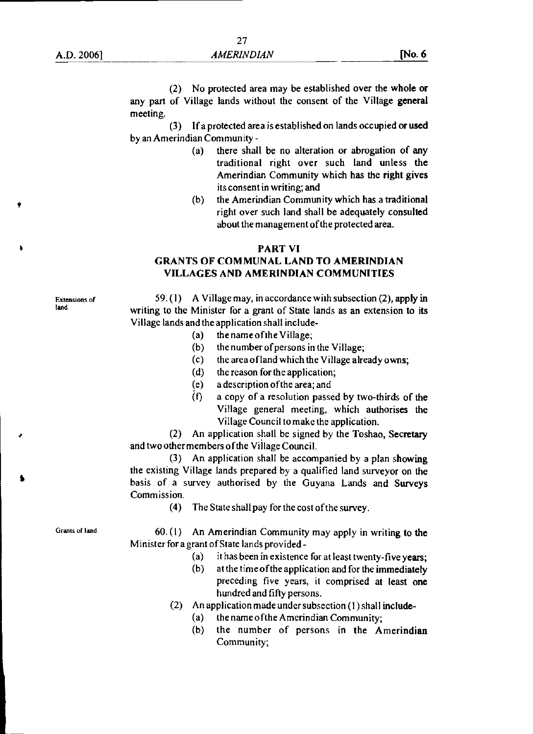(2) No protected area may be established over the **whole or**  any part of Village lands without the consent of the Village **general**  meeting.

(3) If a protected area is established on lands occupied **or used**  by an Amerindian Community -

- (a) there shall be no alteration or abrogation **of any**  traditional right over such land unless **the**  Amerindian Community which has the right gives its consent in writing; and
- (b) the Amerindian Community which has a traditional right over such land shall be adequately consulted about the management of the protected area.

#### **PART VI**

#### **GRANTS OF COMMUNAL LAND TO AMERINDIAN VILLAGES AND AMERINDIAN COMMUNITIES**

Extensions of land.

- 59. (I) A Village may, in accordance with subsection (2), **apply in**  writing to the Minister for a grant of State lands as an extension to its Village lands and the application shall include-
	- (a) the name of the Village;
	- (b) the number of persons in the Village;
	- (c) the area of land which the Village already owns;
	- (d) the reason for the application;
	- (e) a description of the area; and
	- $(1)$  a copy of a resolution passed by two-thirds of the Village general meeting, which authorises the Village Council to make the application.

(2) An application shall be signed by the Toshao, **Secretary**  and two other members of the Village Council.

(3) An application shall be accompanied by a plan showing the existing Village lands prepared by a qualified land surveyor on the basis of a survey authorised by the Guyana Lands and **Surveys**  Commission.

(4) The State shall pay for the cost of the survey.

Grants of land

60. (1) An Amerindian Community may apply in writing to the Minister for a grant of State lands provided -

- (a) it has been in existence for at least twenty-five years;
- (b) at the time of the application and for the immediately preceding five years, it comprised at least one hundred and fifty persons.
- (2) An application made under subsection (1) shall include-
	- (a) the name of the Amerindian Community;
	- (b) the number of persons in the Amerindian Community;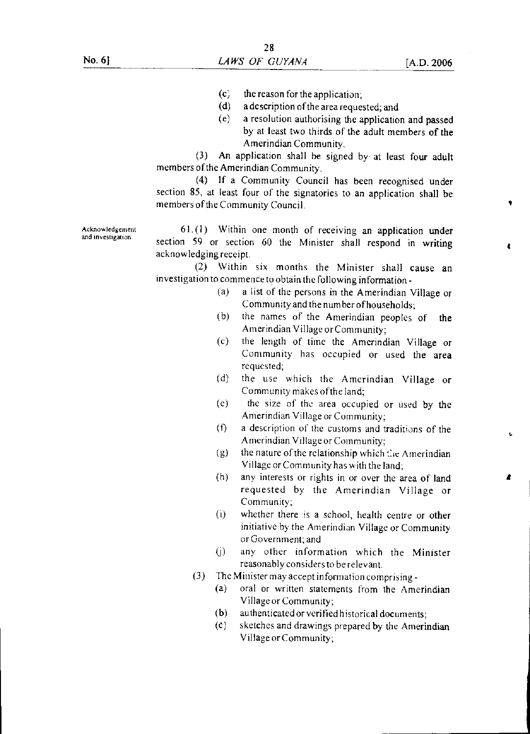2

- $(c)$  the reason for the application;
- (d) a description of the area requested; and
- (e) a resolution authorising the application and passed by at least two thirds of the adult members of the Amerindian Community.

(3) An application shall be signed by at least four adult members of the Amerindian Community.

(4) If a Community Council has been recognised under section 85, at least four of the signatories to an application shall be members of the Community Council.

Acknowledgement 61.(1) Within one month of receiving an application under and investigation. section 59 or section 60 the Minister shall respond in writing acknowledging receipt.

> (2) Within six months the Minister shall cause an investigation to commence to obtain the following information -

- (a) a list of the persons in the Amerindian Village or Community and the number of households;
- (b) the names of the Amerindian peoples of the Amerindian Village or Community;
- (c) the length of time the Amerindian Village or Community has occupied or used the area requested;
- (d) the use which the Amerindian Village or Community makes of the land;
- (e) the size of the area occupied or used by the Amerindian Village or Community;
- (t) a description of the customs and traditions of the Amerindian Village or Community;
- (g) the nature of the relationship which  $Cie$  Amerindian Village or Community has with the land;
- (h) any interests or rights in or over the area of land requested by the Amerindian Village or Community;
- (i) whether there is a school, health centre or other initiative by the Amerindian Village or Community or Government; and
- 0) any other information which the Minister reasonably considers to be relevant.
- (3) The Minister may accept information comprising
	- (a) oral or written statements from the Amerindian Village or Community;
	- (b) authenticated or verified historical documents;
	- (C) sketches and drawings prepared by the Amerindian Village or Community;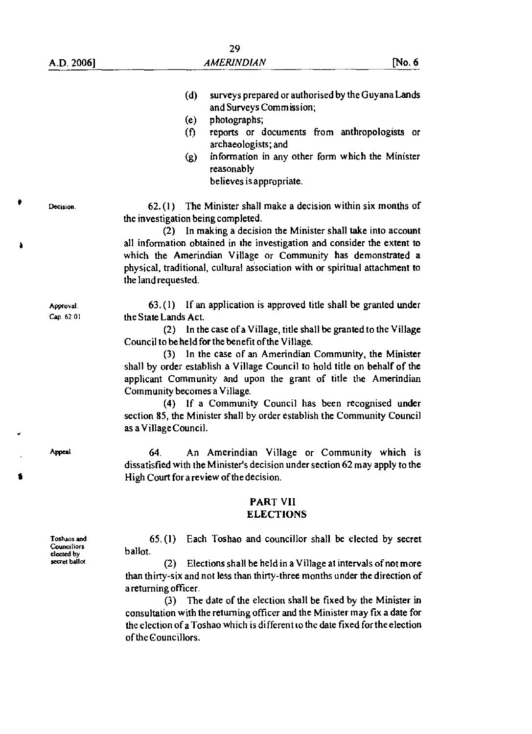(d) surveys prepared or authorised by the Guyana Lands and Surveys Commission; (e) photographs; (f) reports or documents from anthropologists or archaeologists; and (g) information in any other form which the Minister reasonably believes is appropriate. Decision. 62.(1) The Minister shall make a decision within six months of the investigation being completed. (2) In making a decision the Minister shall take into account all information obtained in the investigation and consider the extent to which the Amerindian Village or Community has demonstrated a physical, traditional, cultural association with or spiritual attachment to the land requested. Approval. 63. (1) If an application is approved title shall be granted under Cap. 62:01 the State Lands Act. (2) In the case of a Village, title shall be granted to the Village Council to be held for the benefit of the Village. (3) In the case of an Amerindian Community, the Minister shall by order establish a Village Council to hold title on behalf of the applicant Community and upon the grant of title the Amerindian Community becomes a Village. (4) If a Community Council has been recognised under section 85, the Minister shall by order establish the Community Council as a Village Council. Appeal 64. An Amerindian Village or Community which is dissatisfied with the Minister's decision under section 62 may apply to the High Court fora review of the decision. **PART VII ELECTIONS**  Toshaos and 65. (I) Each Toshao and councillor shall be elected by secret **Councillors** ballot. elected by secret ballo<sup>t</sup> (2) Elections shall be held in a Village at intervals of not more than thirty-six and not less than thirty-three months under the direction of a returning officer. (3) The date of the election shall be fixed by the Minister in consultation with the returning officer and the Minister may fix a date for

the election of a Toshao which is different to the date fixed for the election of the Councillors.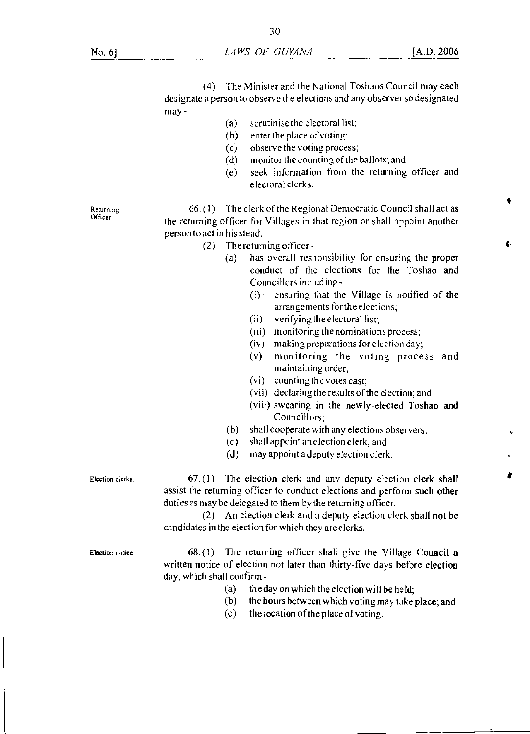(4) The Minister and the National Toshaos Council may each designate a person to observe the elections and any observer so designated may -

- (a) scrutinise the electoral list;
- (b) enter the place of voting;
- (c) observe the voting process;
- (d) monitor the counting of the ballots; and
- (e) seek information from the returning officer and electoral clerks.

Returning Officer

66. (I) The clerk of the Regional Democratic Council shall act as the returning officer for Villages in that region or shall appoint another person to act in his stead.

- (2) The returning officer
	- (a) has overall responsibility for ensuring the proper conduct of the elections for the Toshao and Councillors including -
		- $(i)$  ensuring that the Village is notified of the arrangements for the elections;
		- (ii) verifying the electoral list;
		- (iii) monitoring the nominations process;
		- (iv) making preparations for election day;
		- (v) monitoring the voting process and maintaining order;
		- (vi) counting the votes cast;
		- (vii) declaring the results of the election; and
		- (viii) swearing in the newly-elected Toshao and Councillors;
	- (b) shall cooperate with any elections observers;
	- (c) shall appoint an election clerk; and
	- (d) may appoint a deputy election clerk.

Election clerks.

67.(1) The election clerk and any deputy election clerk shall assist the returning officer to conduct elections and perform such other duties as may be delegated to them by the returning officer.

(2) An election clerk and a deputy election clerk shall not be candidates in the election for which they are clerks.

Election notice.

68.(1) The returning officer shall give the Village Council a written notice of election not later than thirty-five days before election day, which shall confirm -

- (a) the day on which the election will be held;
- (b) the hours between which voting may take place; and
- (c) the location of the place of voting.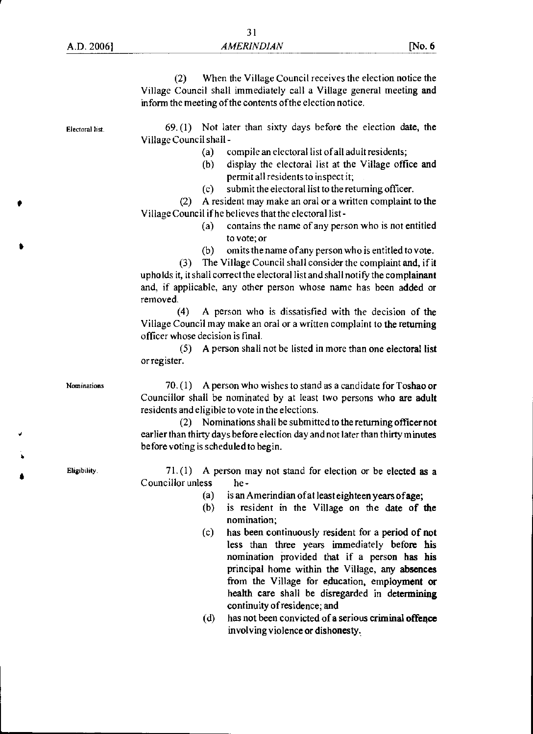| A.D. 2006       | <b>AMERINDIAN</b>                                                                                                                                                                                                                                                                                                                                                                                                                                                                                                                                                                                                                                           | No. 6 |  |
|-----------------|-------------------------------------------------------------------------------------------------------------------------------------------------------------------------------------------------------------------------------------------------------------------------------------------------------------------------------------------------------------------------------------------------------------------------------------------------------------------------------------------------------------------------------------------------------------------------------------------------------------------------------------------------------------|-------|--|
|                 | When the Village Council receives the election notice the<br>(2)<br>Village Council shall immediately call a Village general meeting and<br>inform the meeting of the contents of the election notice.                                                                                                                                                                                                                                                                                                                                                                                                                                                      |       |  |
| Electoral list. | $69. (1)$ Not later than sixty days before the election date, the<br>Village Council shall -<br>compile an electoral list of all adult residents;<br>(a)<br>display the electoral list at the Village office and<br>(b)<br>permit all residents to inspect it;<br>submit the electoral list to the returning officer.<br>(c)<br>A resident may make an oral or a written complaint to the<br>(2)<br>Village Council if he believes that the electoral list-                                                                                                                                                                                                 |       |  |
|                 | contains the name of any person who is not entitled<br>(a)<br>to vote; or<br>omits the name of any person who is entitled to vote.<br>(b)<br>The Village Council shall consider the complaint and, if it<br>(3)<br>upholds it, it shall correct the electoral list and shall notify the complainant<br>and, if applicable, any other person whose name has been added or<br>removed.<br>(4)<br>A person who is dissatisfied with the decision of the<br>Village Council may make an oral or a written complaint to the returning<br>officer whose decision is final.<br>A person shall not be listed in more than one electoral list<br>(5)<br>or register. |       |  |
| Nominations     | A person who wishes to stand as a candidate for Toshao or<br>70.(1)<br>Councillor shall be nominated by at least two persons who are adult<br>residents and eligible to vote in the elections.<br>Nominations shall be submitted to the returning officer not<br>(2)<br>earlier than thirty days before election day and not later than thirty minutes<br>before voting is scheduled to begin.                                                                                                                                                                                                                                                              |       |  |
| Eligibility.    | A person may not stand for election or be elected as a<br>71.(1)<br>Councillor unless<br>he-<br>is an Amerindian of at least eighteen years of age;<br>(a)<br>is resident in the Village on the date of the<br>(b)                                                                                                                                                                                                                                                                                                                                                                                                                                          |       |  |

- nomination; (c) has been continuously resident for a period **of not**  less than three years immediately **before his**  nomination provided that if a person has his principal home within the Village, **any absences**  from the Village for education, employment or health care shall be disregarded in **determining continuity of residence; and**
- **(d) has not been convicted of a serious criminal offence**  involving violence or **dishonesty,**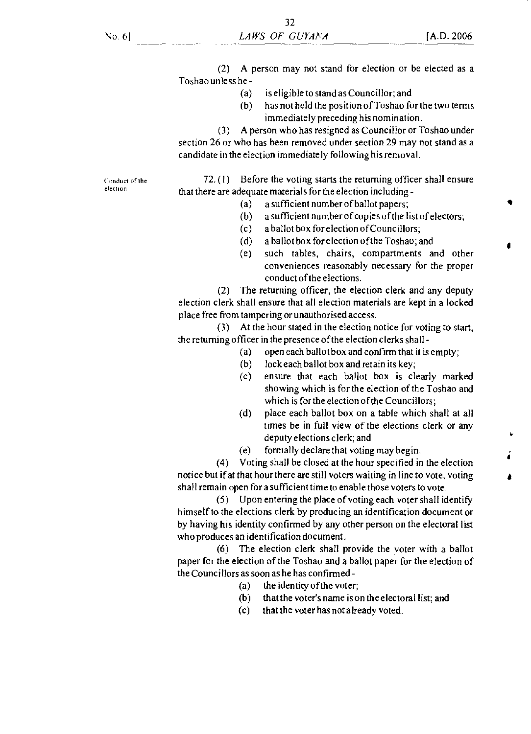(2) A person may not stand for election or be elected as a Toshao unless he -

- (a) is eligible to stand as Councillor; and
- (b) has not held the position of Toshao for the two terms immediately preceding his nomination.

(3) A person who has resigned as Councillor or Toshao under section 26 or who has been removed under section 29 may not stand as a candidate in the election immediately following his removal.

Conduct of the elechon

72. (I) Before the voting starts the returning officer shall ensure that there are adequate materials for the election including -

- (a) a sufficient number of ballot papers;
- (b) a sufficient number of copies of the list of electors;
- (c) a ballot box for election of Councillors;
- (d) a ballot box for election of the Toshao; and
- (e) such tables, chairs, compartments and other conveniences reasonably necessary for the proper conduct of the elections.

(2) The returning officer, the election clerk and any deputy election clerk shall ensure that all election materials are kept in a locked place free from tampering or unauthorised access.

(3) At the hour stated in the election notice for voting to start, the returning officer in the presence of the election clerks shall -

- (a) open each ballot box and confirm that it is empty;
- (b) lock each ballot box and retain its key;
- (c) ensure that each ballot box is clearly marked showing which is for the election of the Toshao and which is for the election of the Councillors;
- (d) place each ballot box on a table which shall at all times be in full view of the elections clerk or any deputy elections clerk; and
- (e) formally declare that voting may begin.

(4) Voting shall be closed at the hour specified in the election notice but if at that hour there are still voters waiting in line to vote, voting shall remain open for a sufficient time to enable those voters to vote.

(5) Upon entering the place of voting each voter shall identify himself to the elections clerk by producing an identification document or by having his identity confirmed by any other person on the electoral list who produces an identification document.

(6) The election clerk shall provide the voter with a ballot paper for the election of the Toshao and a ballot paper for the election of the Councillors as soon as he has confirmed -

- (a) the identity of the voter;
- (b) that the voter's name is on the electoral list; and
- (c) that the voter has not already voted.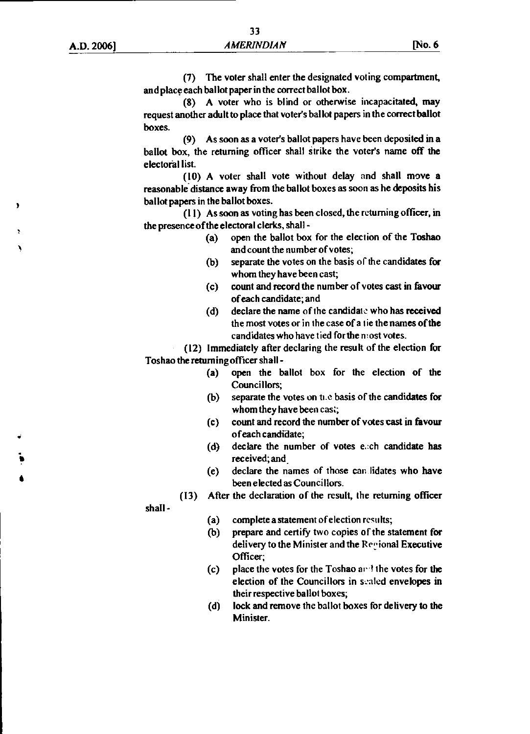(7) The voter shall enter the designated voting compartment, and place each ballot paper in the correct ballot box.

(8) A voter who is blind or otherwise incapacitated, may request another adult to place that voter's ballot papers in the correct ballot boxes.

(9) As soon as a voter's ballot papers have been deposited in a ballot box, the returning officer shall strike the voter's name off the electoral list.

(10) A voter shall vote without delay and shall move a reasonable distance away from the ballot boxes as soon as he deposits his ballot papers in the ballot boxes.

(11) As soon as voting has been closed, the returning officer, in the presence of the electoral clerks, shall -

- (a) open the ballot box for the election of the Toshao and count the number of votes;
- (b) separate the votes on the basis of the candidates for whom they have been cast;
- (c) count and record the number of votes cast in favour of each candidate; and
- (d) declare the name of the candidate who has received the most votes or in the case of a tie the names of the candidates who have tied for the most votes.

(12) Immediately after declaring the result of the election for Toshao the returning officer shall -

- (a) open the ballot box for the election of the Councillors;
- (b) separate the votes on the basis of the candidates for whom they have been cast;
- (c) count and record the number of votes cast in favour of each candidate;
- (d) declare the number of votes e.ch candidate has received; and.
- (e) declare the names of those can lidates who have been elected as Councillors.

shall -

•

- (a) complete a statement of election results;
- (b) prepare and certify two copies of the statement for delivery to the Minister and the Recional Executive Officer;
- (c) place the votes for the Toshao ard the votes for the election of the Councillors in sealed envelopes in their respective ballot boxes;
- (d) lock and remove the ballot boxes for delivery to the Minister.

<sup>(13)</sup> After the declaration of the result, the returning officer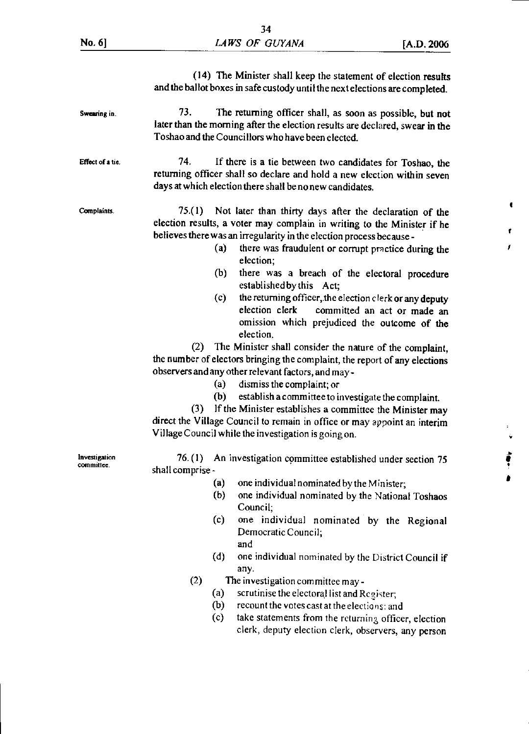|                             | (14) The Minister shall keep the statement of election results<br>and the ballot boxes in safe custody until the next elections are completed.                                                                                                                                                                                                                                                                                                                                                                                                                                                                                                                                                                                                                                                                                                                                                                                                                                                                                                                                |
|-----------------------------|-------------------------------------------------------------------------------------------------------------------------------------------------------------------------------------------------------------------------------------------------------------------------------------------------------------------------------------------------------------------------------------------------------------------------------------------------------------------------------------------------------------------------------------------------------------------------------------------------------------------------------------------------------------------------------------------------------------------------------------------------------------------------------------------------------------------------------------------------------------------------------------------------------------------------------------------------------------------------------------------------------------------------------------------------------------------------------|
| Swearing in.                | 73.<br>The returning officer shall, as soon as possible, but not<br>later than the morning after the election results are declared, swear in the<br>Toshao and the Councillors who have been elected.                                                                                                                                                                                                                                                                                                                                                                                                                                                                                                                                                                                                                                                                                                                                                                                                                                                                         |
| Effect of a tie.            | 74.<br>If there is a tie between two candidates for Toshao, the<br>returning officer shall so declare and hold a new election within seven<br>days at which election there shall be no new candidates.                                                                                                                                                                                                                                                                                                                                                                                                                                                                                                                                                                                                                                                                                                                                                                                                                                                                        |
| Complaints.                 | 75.(1) Not later than thirty days after the declaration of the<br>election results, a voter may complain in writing to the Minister if he<br>believes there was an irregularity in the election process because -<br>(a)<br>there was fraudulent or corrupt practice during the<br>election;<br>(b)<br>there was a breach of the electoral procedure<br>established by this Act;<br>the returning officer, the election clerk or any deputy<br>(c)<br>election clerk committed an act or made an<br>omission which prejudiced the outcome of the<br>election.<br>The Minister shall consider the nature of the complaint,<br>(2)<br>the number of electors bringing the complaint, the report of any elections<br>observers and any other relevant factors, and may-<br>dismiss the complaint; or<br>(a)<br>establish a committee to investigate the complaint.<br>(b)<br>If the Minister establishes a committee the Minister may<br>(3)<br>direct the Village Council to remain in office or may appoint an interim<br>Village Council while the investigation is going on. |
| Investigation<br>committee. | 76. (1)<br>An investigation committee established under section 75<br>shall comprise -<br>(a)<br>one individual nominated by the Minister;<br>(b)<br>one individual nominated by the National Toshaos<br>Council;<br>one individual nominated by the Regional<br>(c)<br>Democratic Council;<br>and<br>(d)<br>one individual nominated by the District Council if<br>any.<br>(2)<br>The investigation committee may -<br>scrutinise the electoral list and Register;<br>(a)<br>(b)<br>recount the votes cast at the elections; and<br>(c)<br>take statements from the returning officer, election<br>clerk, deputy election clerk, observers, any person                                                                                                                                                                                                                                                                                                                                                                                                                       |

 $\blacklozenge$ 

Ť.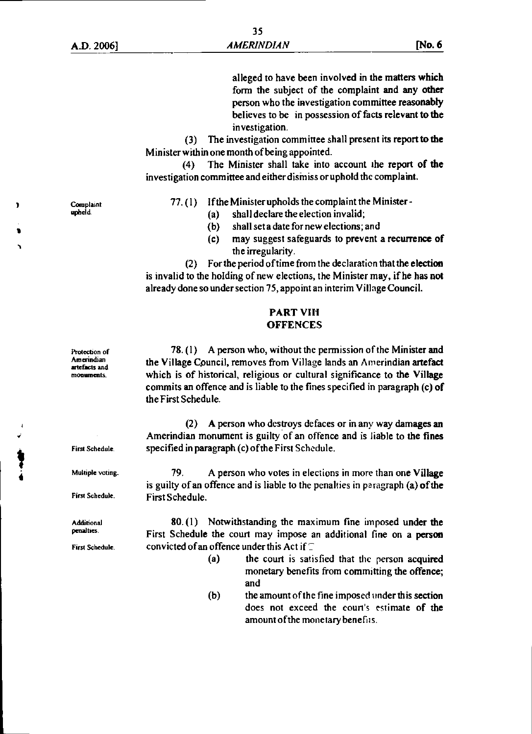alleged to have been involved in the matters which form the subject of the complaint and any other person who the investigation committee reasonably believes to be in possession of facts relevant to the investigation.

(3) The investigation committee shall present its report to the Minister within one month of being appointed.

(4) The Minister shall take into account the report of the investigation committee and either disiniss or uphold the complaint.

77.(1) If the Minister upholds the complaint the Minister -

- (a) shall declare the election invalid;
- (b) shall set a date for new elections; and
- (c) may suggest safeguards to prevent a recurrence of the irregularity.

(2) For the period of time from the declaration that the election is invalid to the holding of new elections, the Minister may, if he has not already done so under section 75, appoint an interim Village Council.

#### PART V111 **OFFENCES**

78. (I) A person who, without the permission of the Minister and the Village Council, removes from Village lands an Amerindian artefact which is of historical, religious or cultural significance to the Village commits an offence and is liable to the fines specified in paragraph (c) of the First Schedule.

(2) A person who destroys defaces or in any way damages an Amerindian monument is guilty of an offence and is liable to the fines First Schedule. specified in paragraph (c) of the First Schedule.

<sup>4</sup>Multiple voting. 79. A person who votes in elections in more than one Village is guilty of an offence and is liable to the penalties in paragraph (a) of the First Schedule. First Schedule.

Additional 80.(1) Notwithstanding the maximum fine imposed under the penalties. First Schedule the court may impose an additional fine on a person First Schedule convicted of an offence under this Act if  $\Gamma$ 

- (a) the court is satisfied that the person acquired monetary benefits from committing the offence; and
- (b) the amount of the fine imposed under this section does not exceed the court's estimate of the amount of the monetary benefits.

**Complaint** upheld.

Protection of **Amerindian** artefacts and monuments\_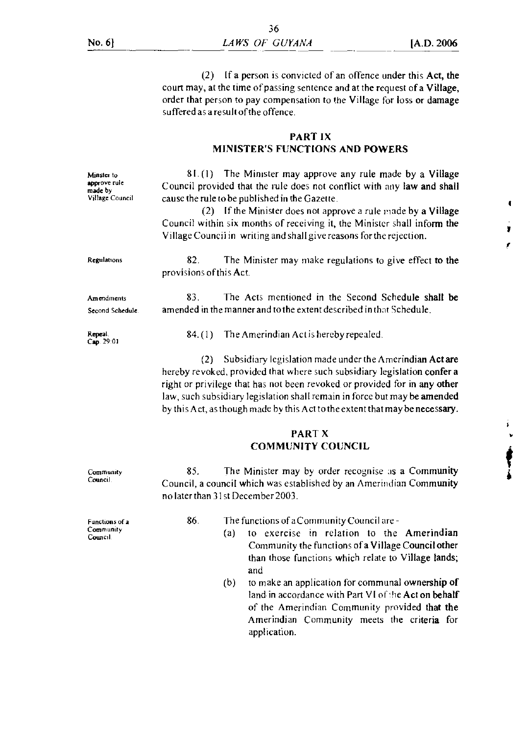•

ł

(2) If a person is convicted of an offence under this Act, the court may, at the time of passing sentence and at the request of a Village, order that person to pay compensation to the Village for loss or damage suffered as a result of the offence.

#### PART IX MINISTER'S FUNCTIONS AND POWERS

Minster to approve rule made by Village Council Regulations  $81.$  (1) The Minister may approve any rule made by a Village Council provided that the rule does not conflict with any law and shall cause the rule to be published in the Gazette. (2) If the Minister does not approve a rule made by a Village Council within six months of receiving it, the Minister shall inform the Village Council in writing and shall give reasons for the rejection. 82. The Minister may make regulations to give effect to the provisions of this Act. 83. The Acts mentioned in the Second Schedule shall be amended in the manner and to the extent described in that Schedule. 84. (1) The Amerindian Act is hereby repealed. (2) Subsidiary legislation made under the Amerindian Act are hereby revoked, provided that where such subsidiary legislation confer a right or privilege that has not been revoked or provided for in any other law, such subsidiary legislation shall remain in force but may be amended by this Act, as though made by this Act to the extent that may be necessary. Amendments Second Schedule. Repeal Cap 29 01 PART X COMMUNITY COUNCIL **Community** Council. Functions of a Community Council 85. The Minister may by order recognise as a Community Council, a council which was established by an Amerindian Community no later than 3Ist December 2003. 86. The functions of a Community Council are -(a) to exercise in relation to the Amerindian

- Community the functions of a Village Council other than those functions which relate to Village lands; and (b) to make an application for communal ownership of
	- land in accordance with Part VI of the Act on behalf of the Amerindian Community provided that the Amerindian Community meets the criteria for application.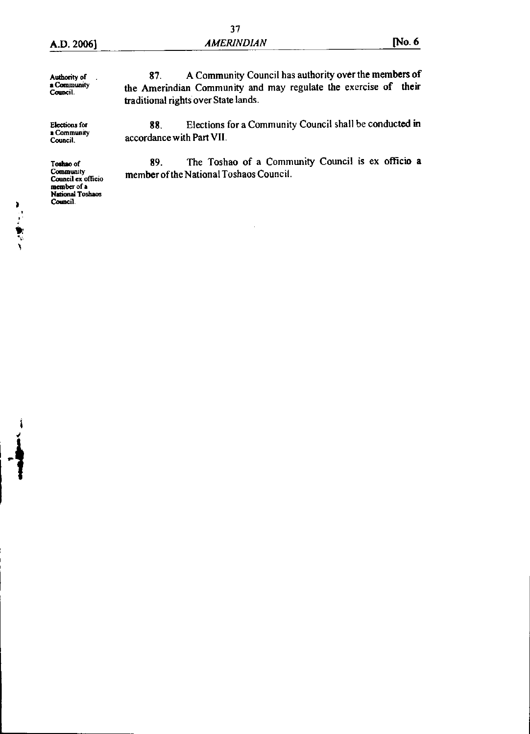**Authority of • Community Council.** 

**Elections** for **• Community Council,** 

**member of a National Toshaos Camel].** 

医皮肤病

88. Elections for a Community Council shall be conducted in accordance with Part VII.

**Toshao of** 89. The Toshao of a Community Council is ex officio a **Community member of the National Toshaos Council. Council**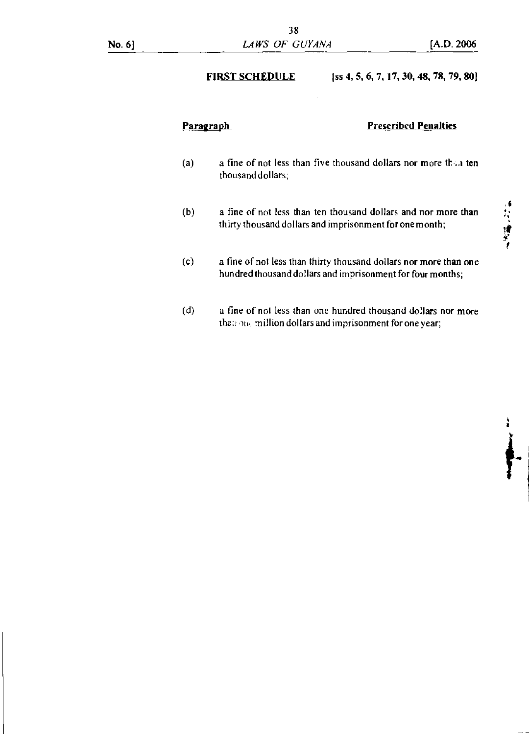### FIRST SCHEDULE  $[ss 4, 5, 6, 7, 17, 30, 48, 78, 79, 80]$

#### Paragraph **Prescribed Penalties**

- (a) a fine of not less than five thousand dollars nor more than ten thousand dollars;
- (b) a fine of not less than ten thousand dollars and nor more than thirty thousand dollars and imprisonment for one month;
- (c) a fine of not less than thirty thousand dollars nor more than one hundred thousand dollars and imprisonment for four months;
- (d) a fine of not less than one hundred thousand dollars nor more than one million dollars and imprisonment for one year;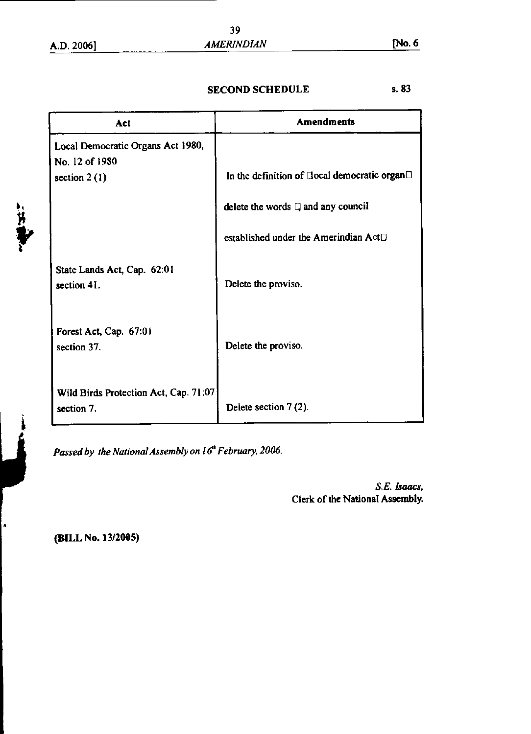"好事"

4

# SECOND SCHEDULE 5.83

| Act                                                                   | <b>Amendments</b>                                           |
|-----------------------------------------------------------------------|-------------------------------------------------------------|
| Local Democratic Organs Act 1980,<br>No. 12 of 1980<br>section $2(1)$ | In the definition of Ilocal democratic organ <sup>[1]</sup> |
|                                                                       | delete the words $\Box$ and any council                     |
|                                                                       | established under the Amerindian Act <sup>[]</sup>          |
| State Lands Act, Cap. 62:01<br>section 41.                            | Delete the proviso.                                         |
| Forest Act, Cap. 67:01<br>section 37.                                 | Delete the proviso.                                         |
| Wild Birds Protection Act, Cap. 71:07<br>section 7.                   | Delete section 7 (2).                                       |

Passed by the National Assembly on 16<sup>th</sup> February, 2006.

S.E. *Isaacs,*  Clerk of the National Assembly.

**(BILL No. 13/2005)**